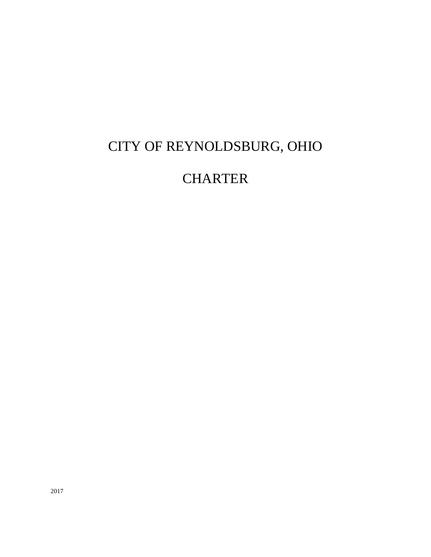# CITY OF REYNOLDSBURG, OHIO

## **CHARTER**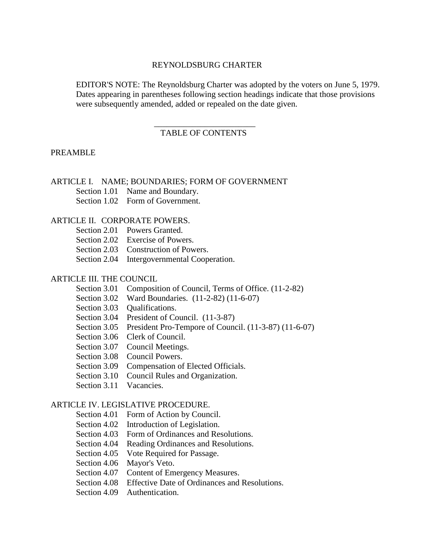#### REYNOLDSBURG CHARTER

EDITOR'S NOTE: The Reynoldsburg Charter was adopted by the voters on June 5, 1979. Dates appearing in parentheses following section headings indicate that those provisions were subsequently amended, added or repealed on the date given.

## \_\_\_\_\_\_\_\_\_\_\_\_\_\_\_\_\_\_\_\_\_\_\_\_ TABLE OF CONTENTS

#### PREAMBLE

### ARTICLE I. NAME; BOUNDARIES; FORM OF GOVERNMENT

Section 1.01 Name and Boundary.

Section 1.02 Form of Government.

#### ARTICLE II. CORPORATE POWERS.

| Section 2.01 Powers Granted.                |
|---------------------------------------------|
| Section 2.02 Exercise of Powers.            |
| Section 2.03 Construction of Powers.        |
| Section 2.04 Intergovernmental Cooperation. |

#### ARTICLE III. THE COUNCIL

- Section 3.01 Composition of Council, Terms of Office. (11-2-82)
- Section 3.02 Ward Boundaries. (11-2-82) (11-6-07)
- Section 3.03 Oualifications.
- Section 3.04 President of Council. (11-3-87)
- Section 3.05 President Pro-Tempore of Council. (11-3-87) (11-6-07)
- Section 3.06 Clerk of Council.
- Section 3.07 Council Meetings.
- Section 3.08 Council Powers.
- Section 3.09 Compensation of Elected Officials.
- Section 3.10 Council Rules and Organization.
- Section 3.11 Vacancies.

#### ARTICLE IV. LEGISLATIVE PROCEDURE.

- Section 4.01 Form of Action by Council.
- Section 4.02 Introduction of Legislation.
- Section 4.03 Form of Ordinances and Resolutions.
- Section 4.04 Reading Ordinances and Resolutions.
- Section 4.05 Vote Required for Passage.
- Section 4.06 Mayor's Veto.
- Section 4.07 Content of Emergency Measures.
- Section 4.08 Effective Date of Ordinances and Resolutions.
- Section 4.09 Authentication.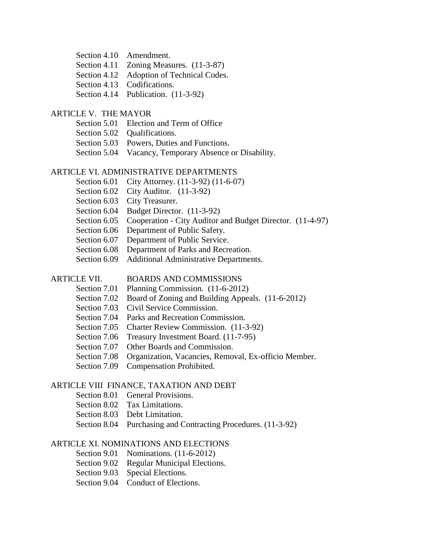- Section 4.11 Zoning Measures.  $(11-3-87)$
- Section 4.12 Adoption of Technical Codes.
- Section 4.13 Codifications.
- Section 4.14 Publication. (11-3-92)

#### ARTICLE V. THE MAYOR

- Section 5.01 Election and Term of Office
- Section 5.02 Oualifications.
- Section 5.03 Powers, Duties and Functions.
- Section 5.04 Vacancy, Temporary Absence or Disability.

#### ARTICLE VI. ADMINISTRATIVE DEPARTMENTS

- Section 6.01 City Attorney. (11-3-92) (11-6-07)
- Section 6.02 City Auditor. (11-3-92)
- Section 6.03 City Treasurer.
- Section 6.04 Budget Director. (11-3-92)
- Section 6.05 Cooperation City Auditor and Budget Director. (11-4-97)
- Section 6.06 Department of Public Safety.
- Section 6.07 Department of Public Service.
- Section 6.08 Department of Parks and Recreation.
- Section 6.09 Additional Administrative Departments.

#### ARTICLE VII. BOARDS AND COMMISSIONS

- Section 7.01 Planning Commission. (11-6-2012)
- Section 7.02 Board of Zoning and Building Appeals. (11-6-2012)
- Section 7.03 Civil Service Commission.
- Section 7.04 Parks and Recreation Commission.
- Section 7.05 Charter Review Commission. (11-3-92)
- Section 7.06 Treasury Investment Board. (11-7-95)
- Section 7.07 Other Boards and Commission.
- Section 7.08 Organization, Vacancies, Removal, Ex-officio Member.
- Section 7.09 Compensation Prohibited.

#### ARTICLE VIII FINANCE, TAXATION AND DEBT

- Section 8.01 General Provisions.
- Section 8.02 Tax Limitations.
- Section 8.03 Debt Limitation.
- Section 8.04 Purchasing and Contracting Procedures. (11-3-92)

#### ARTICLE XI. NOMINATIONS AND ELECTIONS

- Section 9.01 Nominations. (11-6-2012)
- Section 9.02 Regular Municipal Elections.
- Section 9.03 Special Elections.
- Section 9.04 Conduct of Elections.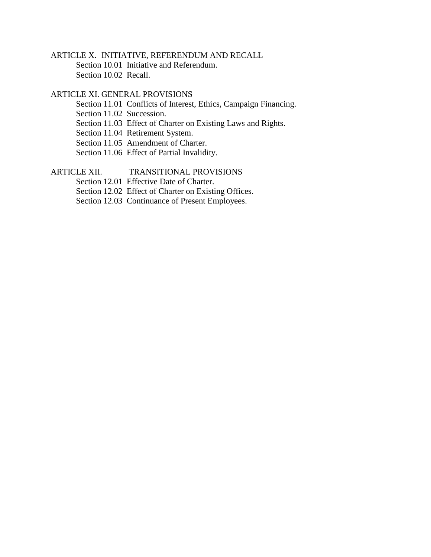## ARTICLE X. INITIATIVE, REFERENDUM AND RECALL

Section 10.01 Initiative and Referendum. Section 10.02 Recall.

## ARTICLE XI. GENERAL PROVISIONS

Section 11.01 Conflicts of Interest, Ethics, Campaign Financing.

Section 11.02 Succession.

- Section 11.03 Effect of Charter on Existing Laws and Rights.
- Section 11.04 Retirement System.
- Section 11.05 Amendment of Charter.
- Section 11.06 Effect of Partial Invalidity.

## ARTICLE XII. TRANSITIONAL PROVISIONS

Section 12.01 Effective Date of Charter.

Section 12.02 Effect of Charter on Existing Offices.

Section 12.03 Continuance of Present Employees.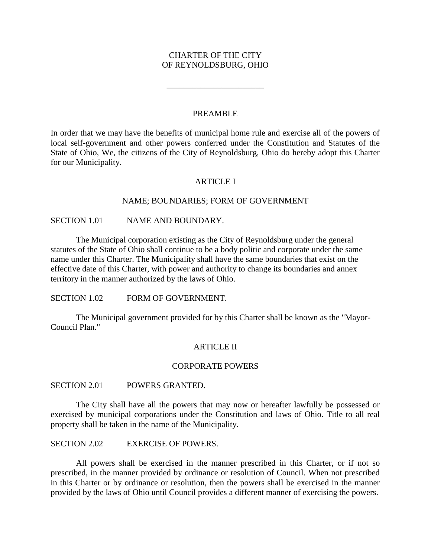## CHARTER OF THE CITY OF REYNOLDSBURG, OHIO

\_\_\_\_\_\_\_\_\_\_\_\_\_\_\_\_\_\_\_\_\_\_\_

#### PREAMBLE

In order that we may have the benefits of municipal home rule and exercise all of the powers of local self-government and other powers conferred under the Constitution and Statutes of the State of Ohio, We, the citizens of the City of Reynoldsburg, Ohio do hereby adopt this Charter for our Municipality.

## ARTICLE I

#### NAME; BOUNDARIES; FORM OF GOVERNMENT

## SECTION 1.01 NAME AND BOUNDARY.

The Municipal corporation existing as the City of Reynoldsburg under the general statutes of the State of Ohio shall continue to be a body politic and corporate under the same name under this Charter. The Municipality shall have the same boundaries that exist on the effective date of this Charter, with power and authority to change its boundaries and annex territory in the manner authorized by the laws of Ohio.

SECTION 1.02 FORM OF GOVERNMENT.

The Municipal government provided for by this Charter shall be known as the "Mayor-Council Plan."

#### **ARTICLE II**

#### CORPORATE POWERS

SECTION 2.01 POWERS GRANTED.

The City shall have all the powers that may now or hereafter lawfully be possessed or exercised by municipal corporations under the Constitution and laws of Ohio. Title to all real property shall be taken in the name of the Municipality.

SECTION 2.02 EXERCISE OF POWERS.

All powers shall be exercised in the manner prescribed in this Charter, or if not so prescribed, in the manner provided by ordinance or resolution of Council. When not prescribed in this Charter or by ordinance or resolution, then the powers shall be exercised in the manner provided by the laws of Ohio until Council provides a different manner of exercising the powers.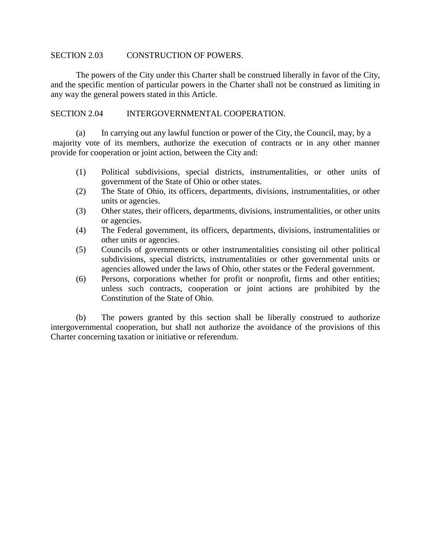## SECTION 2.03 CONSTRUCTION OF POWERS.

The powers of the City under this Charter shall be construed liberally in favor of the City, and the specific mention of particular powers in the Charter shall not be construed as limiting in any way the general powers stated in this Article.

## SECTION 2.04 INTERGOVERNMENTAL COOPERATION.

(a) In carrying out any lawful function or power of the City, the Council, may, by a majority vote of its members, authorize the execution of contracts or in any other manner provide for cooperation or joint action, between the City and:

- (1) Political subdivisions, special districts, instrumentalities, or other units of government of the State of Ohio or other states.
- (2) The State of Ohio, its officers, departments, divisions, instrumentalities, or other units or agencies.
- (3) Other states, their officers, departments, divisions, instrumentalities, or other units or agencies.
- (4) The Federal government, its officers, departments, divisions, instrumentalities or other units or agencies.
- (5) Councils of governments or other instrumentalities consisting oil other political subdivisions, special districts, instrumentalities or other governmental units or agencies allowed under the laws of Ohio, other states or the Federal government.
- (6) Persons, corporations whether for profit or nonprofit, firms and other entities; unless such contracts, cooperation or joint actions are prohibited by the Constitution of the State of Ohio.

(b) The powers granted by this section shall be liberally construed to authorize intergovernmental cooperation, but shall not authorize the avoidance of the provisions of this Charter concerning taxation or initiative or referendum.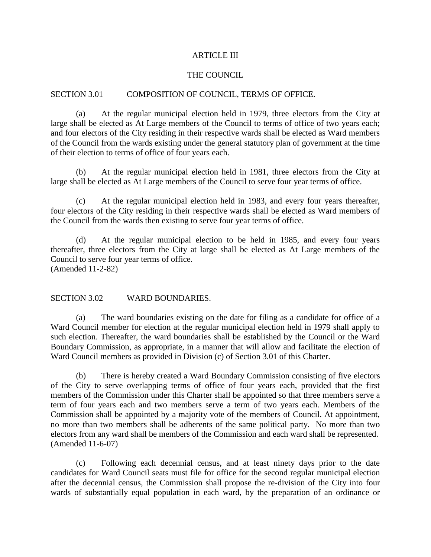#### ARTICLE III

## THE COUNCIL

## SECTION 3.01 COMPOSITION OF COUNCIL, TERMS OF OFFICE.

(a) At the regular municipal election held in 1979, three electors from the City at large shall be elected as At Large members of the Council to terms of office of two years each; and four electors of the City residing in their respective wards shall be elected as Ward members of the Council from the wards existing under the general statutory plan of government at the time of their election to terms of office of four years each.

(b) At the regular municipal election held in 1981, three electors from the City at large shall be elected as At Large members of the Council to serve four year terms of office.

(c) At the regular municipal election held in 1983, and every four years thereafter, four electors of the City residing in their respective wards shall be elected as Ward members of the Council from the wards then existing to serve four year terms of office.

(d) At the regular municipal election to be held in 1985, and every four years thereafter, three electors from the City at large shall be elected as At Large members of the Council to serve four year terms of office. (Amended 11-2-82)

SECTION 3.02 WARD BOUNDARIES.

(a) The ward boundaries existing on the date for filing as a candidate for office of a Ward Council member for election at the regular municipal election held in 1979 shall apply to such election. Thereafter, the ward boundaries shall be established by the Council or the Ward Boundary Commission, as appropriate, in a manner that will allow and facilitate the election of Ward Council members as provided in Division (c) of Section 3.01 of this Charter.

(b) There is hereby created a Ward Boundary Commission consisting of five electors of the City to serve overlapping terms of office of four years each, provided that the first members of the Commission under this Charter shall be appointed so that three members serve a term of four years each and two members serve a term of two years each. Members of the Commission shall be appointed by a majority vote of the members of Council. At appointment, no more than two members shall be adherents of the same political party. No more than two electors from any ward shall be members of the Commission and each ward shall be represented. (Amended 11-6-07)

(c) Following each decennial census, and at least ninety days prior to the date candidates for Ward Council seats must file for office for the second regular municipal election after the decennial census, the Commission shall propose the re-division of the City into four wards of substantially equal population in each ward, by the preparation of an ordinance or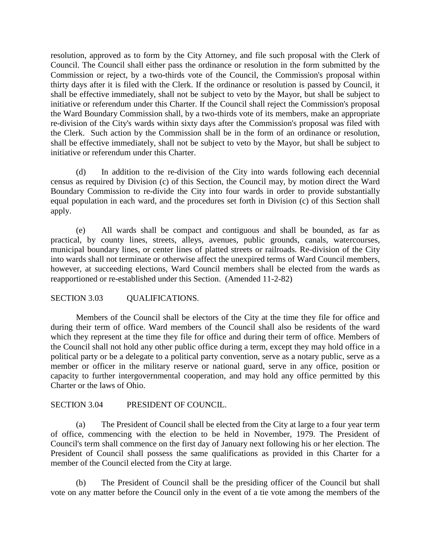resolution, approved as to form by the City Attorney, and file such proposal with the Clerk of Council. The Council shall either pass the ordinance or resolution in the form submitted by the Commission or reject, by a two-thirds vote of the Council, the Commission's proposal within thirty days after it is filed with the Clerk. If the ordinance or resolution is passed by Council, it shall be effective immediately, shall not be subject to veto by the Mayor, but shall be subject to initiative or referendum under this Charter. If the Council shall reject the Commission's proposal the Ward Boundary Commission shall, by a two-thirds vote of its members, make an appropriate re-division of the City's wards within sixty days after the Commission's proposal was filed with the Clerk. Such action by the Commission shall be in the form of an ordinance or resolution, shall be effective immediately, shall not be subject to veto by the Mayor, but shall be subject to initiative or referendum under this Charter.

(d) In addition to the re-division of the City into wards following each decennial census as required by Division (c) of this Section, the Council may, by motion direct the Ward Boundary Commission to re-divide the City into four wards in order to provide substantially equal population in each ward, and the procedures set forth in Division (c) of this Section shall apply.

(e) All wards shall be compact and contiguous and shall be bounded, as far as practical, by county lines, streets, alleys, avenues, public grounds, canals, watercourses, municipal boundary lines, or center lines of platted streets or railroads. Re-division of the City into wards shall not terminate or otherwise affect the unexpired terms of Ward Council members, however, at succeeding elections, Ward Council members shall be elected from the wards as reapportioned or re-established under this Section. (Amended 11-2-82)

## SECTION 3.03 QUALIFICATIONS.

Members of the Council shall be electors of the City at the time they file for office and during their term of office. Ward members of the Council shall also be residents of the ward which they represent at the time they file for office and during their term of office. Members of the Council shall not hold any other public office during a term, except they may hold office in a political party or be a delegate to a political party convention, serve as a notary public, serve as a member or officer in the military reserve or national guard, serve in any office, position or capacity to further intergovernmental cooperation, and may hold any office permitted by this Charter or the laws of Ohio.

## SECTION 3.04 PRESIDENT OF COUNCIL.

(a) The President of Council shall be elected from the City at large to a four year term of office, commencing with the election to be held in November, 1979. The President of Council's term shall commence on the first day of January next following his or her election. The President of Council shall possess the same qualifications as provided in this Charter for a member of the Council elected from the City at large.

(b) The President of Council shall be the presiding officer of the Council but shall vote on any matter before the Council only in the event of a tie vote among the members of the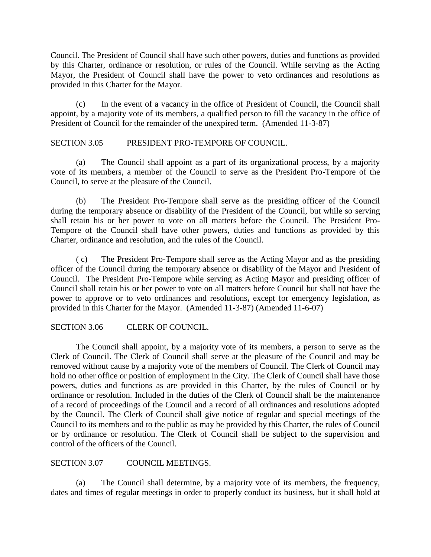Council. The President of Council shall have such other powers, duties and functions as provided by this Charter, ordinance or resolution, or rules of the Council. While serving as the Acting Mayor, the President of Council shall have the power to veto ordinances and resolutions as provided in this Charter for the Mayor.

(c) In the event of a vacancy in the office of President of Council, the Council shall appoint, by a majority vote of its members, a qualified person to fill the vacancy in the office of President of Council for the remainder of the unexpired term. (Amended 11-3-87)

## SECTION 3.05 PRESIDENT PRO-TEMPORE OF COUNCIL.

(a) The Council shall appoint as a part of its organizational process, by a majority vote of its members, a member of the Council to serve as the President Pro-Tempore of the Council, to serve at the pleasure of the Council.

(b) The President Pro-Tempore shall serve as the presiding officer of the Council during the temporary absence or disability of the President of the Council, but while so serving shall retain his or her power to vote on all matters before the Council. The President Pro-Tempore of the Council shall have other powers, duties and functions as provided by this Charter, ordinance and resolution, and the rules of the Council.

( c) The President Pro-Tempore shall serve as the Acting Mayor and as the presiding officer of the Council during the temporary absence or disability of the Mayor and President of Council. The President Pro-Tempore while serving as Acting Mayor and presiding officer of Council shall retain his or her power to vote on all matters before Council but shall not have the power to approve or to veto ordinances and resolutions**,** except for emergency legislation, as provided in this Charter for the Mayor. (Amended 11-3-87) (Amended 11-6-07)

## SECTION 3.06 CLERK OF COUNCIL.

The Council shall appoint, by a majority vote of its members, a person to serve as the Clerk of Council. The Clerk of Council shall serve at the pleasure of the Council and may be removed without cause by a majority vote of the members of Council. The Clerk of Council may hold no other office or position of employment in the City. The Clerk of Council shall have those powers, duties and functions as are provided in this Charter, by the rules of Council or by ordinance or resolution. Included in the duties of the Clerk of Council shall be the maintenance of a record of proceedings of the Council and a record of all ordinances and resolutions adopted by the Council. The Clerk of Council shall give notice of regular and special meetings of the Council to its members and to the public as may be provided by this Charter, the rules of Council or by ordinance or resolution. The Clerk of Council shall be subject to the supervision and control of the officers of the Council.

## SECTION 3.07 COUNCIL MEETINGS.

(a) The Council shall determine, by a majority vote of its members, the frequency, dates and times of regular meetings in order to properly conduct its business, but it shall hold at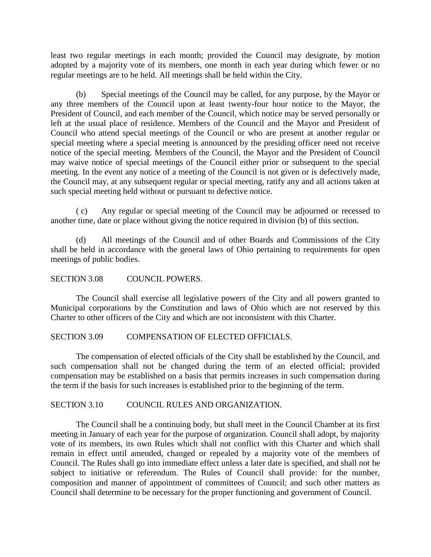least two regular meetings in each month; provided the Council may designate, by motion adopted by a majority vote of its members, one month in each year during which fewer or no regular meetings are to be held. All meetings shall be held within the City.

(b) Special meetings of the Council may be called, for any purpose, by the Mayor or any three members of the Council upon at least twenty-four hour notice to the Mayor, the President of Council, and each member of the Council, which notice may be served personally or left at the usual place of residence. Members of the Council and the Mayor and President of Council who attend special meetings of the Council or who are present at another regular or special meeting where a special meeting is announced by the presiding officer need not receive notice of the special meeting. Members of the Council, the Mayor and the President of Council may waive notice of special meetings of the Council either prior or subsequent to the special meeting. In the event any notice of a meeting of the Council is not given or is defectively made, the Council may, at any subsequent regular or special meeting, ratify any and all actions taken at such special meeting held without or pursuant to defective notice.

( c) Any regular or special meeting of the Council may be adjourned or recessed to another time, date or place without giving the notice required in division (b) of this section.

(d) All meetings of the Council and of other Boards and Commissions of the City shall be held in accordance with the general laws of Ohio pertaining to requirements for open meetings of public bodies.

## SECTION 3.08 COUNCIL POWERS.

The Council shall exercise all legislative powers of the City and all powers granted to Municipal corporations by the Constitution and laws of Ohio which are not reserved by this Charter to other officers of the City and which are not inconsistent with this Charter.

## SECTION 3.09 COMPENSATION OF ELECTED OFFICIALS.

The compensation of elected officials of the City shall be established by the Council, and such compensation shall not be changed during the term of an elected official; provided compensation may be established on a basis that permits increases in such compensation during the term if the basis for such increases is established prior to the beginning of the term.

## SECTION 3.10 COUNCIL RULES AND ORGANIZATION.

The Council shall be a continuing body, but shall meet in the Council Chamber at its first meeting in January of each year for the purpose of organization. Council shall adopt, by majority vote of its members, its own Rules which shall not conflict with this Charter and which shall remain in effect until amended, changed or repealed by a majority vote of the members of Council. The Rules shall go into immediate effect unless a later date is specified, and shall not be subject to initiative or referendum. The Rules of Council shall provide: for the number, composition and manner of appointment of committees of Council; and such other matters as Council shall determine to be necessary for the proper functioning and government of Council.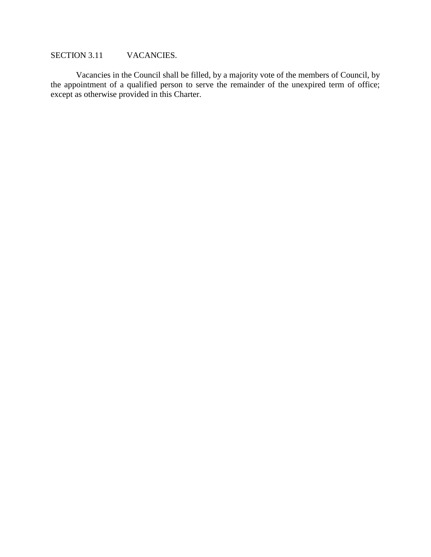## SECTION 3.11 VACANCIES.

Vacancies in the Council shall be filled, by a majority vote of the members of Council, by the appointment of a qualified person to serve the remainder of the unexpired term of office; except as otherwise provided in this Charter.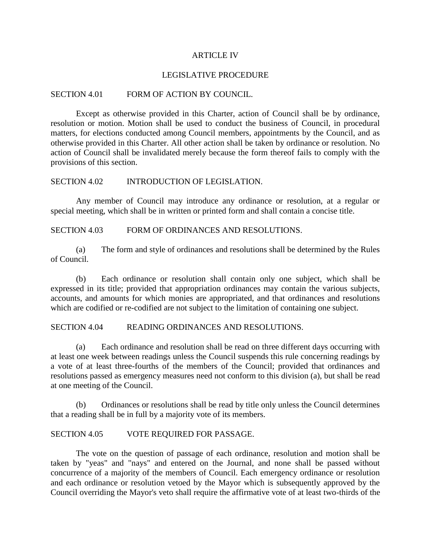#### ARTICLE IV

#### LEGISLATIVE PROCEDURE

## SECTION 4.01 FORM OF ACTION BY COUNCIL.

Except as otherwise provided in this Charter, action of Council shall be by ordinance, resolution or motion. Motion shall be used to conduct the business of Council, in procedural matters, for elections conducted among Council members, appointments by the Council, and as otherwise provided in this Charter. All other action shall be taken by ordinance or resolution. No action of Council shall be invalidated merely because the form thereof fails to comply with the provisions of this section.

## SECTION 4.02 INTRODUCTION OF LEGISLATION.

Any member of Council may introduce any ordinance or resolution, at a regular or special meeting, which shall be in written or printed form and shall contain a concise title.

#### SECTION 4.03 FORM OF ORDINANCES AND RESOLUTIONS.

(a) The form and style of ordinances and resolutions shall be determined by the Rules of Council.

(b) Each ordinance or resolution shall contain only one subject, which shall be expressed in its title; provided that appropriation ordinances may contain the various subjects, accounts, and amounts for which monies are appropriated, and that ordinances and resolutions which are codified or re-codified are not subject to the limitation of containing one subject.

#### SECTION 4.04 READING ORDINANCES AND RESOLUTIONS.

(a) Each ordinance and resolution shall be read on three different days occurring with at least one week between readings unless the Council suspends this rule concerning readings by a vote of at least three-fourths of the members of the Council; provided that ordinances and resolutions passed as emergency measures need not conform to this division (a), but shall be read at one meeting of the Council.

(b) Ordinances or resolutions shall be read by title only unless the Council determines that a reading shall be in full by a majority vote of its members.

## SECTION 4.05 VOTE REQUIRED FOR PASSAGE.

The vote on the question of passage of each ordinance, resolution and motion shall be taken by "yeas" and "nays" and entered on the Journal, and none shall be passed without concurrence of a majority of the members of Council. Each emergency ordinance or resolution and each ordinance or resolution vetoed by the Mayor which is subsequently approved by the Council overriding the Mayor's veto shall require the affirmative vote of at least two-thirds of the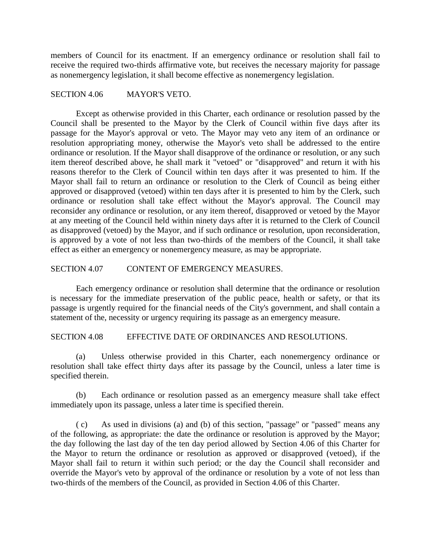members of Council for its enactment. If an emergency ordinance or resolution shall fail to receive the required two-thirds affirmative vote, but receives the necessary majority for passage as nonemergency legislation, it shall become effective as nonemergency legislation.

## SECTION 4.06 MAYOR'S VETO.

Except as otherwise provided in this Charter, each ordinance or resolution passed by the Council shall be presented to the Mayor by the Clerk of Council within five days after its passage for the Mayor's approval or veto. The Mayor may veto any item of an ordinance or resolution appropriating money, otherwise the Mayor's veto shall be addressed to the entire ordinance or resolution. If the Mayor shall disapprove of the ordinance or resolution, or any such item thereof described above, he shall mark it "vetoed" or "disapproved" and return it with his reasons therefor to the Clerk of Council within ten days after it was presented to him. If the Mayor shall fail to return an ordinance or resolution to the Clerk of Council as being either approved or disapproved (vetoed) within ten days after it is presented to him by the Clerk, such ordinance or resolution shall take effect without the Mayor's approval. The Council may reconsider any ordinance or resolution, or any item thereof, disapproved or vetoed by the Mayor at any meeting of the Council held within ninety days after it is returned to the Clerk of Council as disapproved (vetoed) by the Mayor, and if such ordinance or resolution, upon reconsideration, is approved by a vote of not less than two-thirds of the members of the Council, it shall take effect as either an emergency or nonemergency measure, as may be appropriate.

## SECTION 4.07 CONTENT OF EMERGENCY MEASURES.

Each emergency ordinance or resolution shall determine that the ordinance or resolution is necessary for the immediate preservation of the public peace, health or safety, or that its passage is urgently required for the financial needs of the City's government, and shall contain a statement of the, necessity or urgency requiring its passage as an emergency measure.

SECTION 4.08 EFFECTIVE DATE OF ORDINANCES AND RESOLUTIONS.

(a) Unless otherwise provided in this Charter, each nonemergency ordinance or resolution shall take effect thirty days after its passage by the Council, unless a later time is specified therein.

(b) Each ordinance or resolution passed as an emergency measure shall take effect immediately upon its passage, unless a later time is specified therein.

( c) As used in divisions (a) and (b) of this section, "passage" or "passed" means any of the following, as appropriate: the date the ordinance or resolution is approved by the Mayor; the day following the last day of the ten day period allowed by Section 4.06 of this Charter for the Mayor to return the ordinance or resolution as approved or disapproved (vetoed), if the Mayor shall fail to return it within such period; or the day the Council shall reconsider and override the Mayor's veto by approval of the ordinance or resolution by a vote of not less than two-thirds of the members of the Council, as provided in Section 4.06 of this Charter.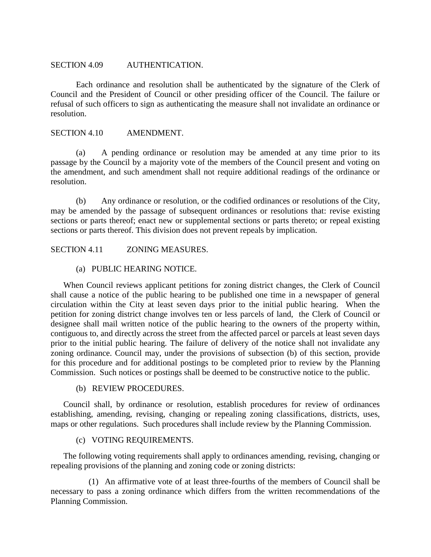#### SECTION 4.09 AUTHENTICATION.

Each ordinance and resolution shall be authenticated by the signature of the Clerk of Council and the President of Council or other presiding officer of the Council. The failure or refusal of such officers to sign as authenticating the measure shall not invalidate an ordinance or resolution.

## SECTION 4.10 AMENDMENT.

(a) A pending ordinance or resolution may be amended at any time prior to its passage by the Council by a majority vote of the members of the Council present and voting on the amendment, and such amendment shall not require additional readings of the ordinance or resolution.

(b) Any ordinance or resolution, or the codified ordinances or resolutions of the City, may be amended by the passage of subsequent ordinances or resolutions that: revise existing sections or parts thereof; enact new or supplemental sections or parts thereto; or repeal existing sections or parts thereof. This division does not prevent repeals by implication.

SECTION 4.11 ZONING MEASURES.

#### (a) PUBLIC HEARING NOTICE.

 When Council reviews applicant petitions for zoning district changes, the Clerk of Council shall cause a notice of the public hearing to be published one time in a newspaper of general circulation within the City at least seven days prior to the initial public hearing. When the petition for zoning district change involves ten or less parcels of land, the Clerk of Council or designee shall mail written notice of the public hearing to the owners of the property within, contiguous to, and directly across the street from the affected parcel or parcels at least seven days prior to the initial public hearing. The failure of delivery of the notice shall not invalidate any zoning ordinance. Council may, under the provisions of subsection (b) of this section, provide for this procedure and for additional postings to be completed prior to review by the Planning Commission. Such notices or postings shall be deemed to be constructive notice to the public.

#### (b) REVIEW PROCEDURES.

 Council shall, by ordinance or resolution, establish procedures for review of ordinances establishing, amending, revising, changing or repealing zoning classifications, districts, uses, maps or other regulations. Such procedures shall include review by the Planning Commission.

## (c) VOTING REQUIREMENTS.

 The following voting requirements shall apply to ordinances amending, revising, changing or repealing provisions of the planning and zoning code or zoning districts:

 (1) An affirmative vote of at least three-fourths of the members of Council shall be necessary to pass a zoning ordinance which differs from the written recommendations of the Planning Commission.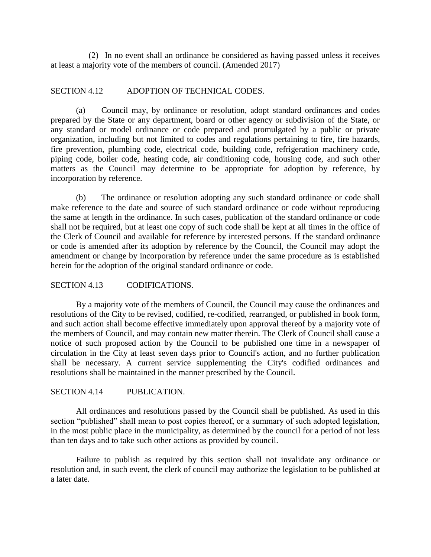(2) In no event shall an ordinance be considered as having passed unless it receives at least a majority vote of the members of council. (Amended 2017)

## SECTION 4.12 ADOPTION OF TECHNICAL CODES.

(a) Council may, by ordinance or resolution, adopt standard ordinances and codes prepared by the State or any department, board or other agency or subdivision of the State, or any standard or model ordinance or code prepared and promulgated by a public or private organization, including but not limited to codes and regulations pertaining to fire, fire hazards, fire prevention, plumbing code, electrical code, building code, refrigeration machinery code, piping code, boiler code, heating code, air conditioning code, housing code, and such other matters as the Council may determine to be appropriate for adoption by reference, by incorporation by reference.

(b) The ordinance or resolution adopting any such standard ordinance or code shall make reference to the date and source of such standard ordinance or code without reproducing the same at length in the ordinance. In such cases, publication of the standard ordinance or code shall not be required, but at least one copy of such code shall be kept at all times in the office of the Clerk of Council and available for reference by interested persons. If the standard ordinance or code is amended after its adoption by reference by the Council, the Council may adopt the amendment or change by incorporation by reference under the same procedure as is established herein for the adoption of the original standard ordinance or code.

## SECTION 4.13 CODIFICATIONS.

By a majority vote of the members of Council, the Council may cause the ordinances and resolutions of the City to be revised, codified, re-codified, rearranged, or published in book form, and such action shall become effective immediately upon approval thereof by a majority vote of the members of Council, and may contain new matter therein. The Clerk of Council shall cause a notice of such proposed action by the Council to be published one time in a newspaper of circulation in the City at least seven days prior to Council's action, and no further publication shall be necessary. A current service supplementing the City's codified ordinances and resolutions shall be maintained in the manner prescribed by the Council.

## SECTION 4.14 PUBLICATION.

All ordinances and resolutions passed by the Council shall be published. As used in this section "published" shall mean to post copies thereof, or a summary of such adopted legislation, in the most public place in the municipality, as determined by the council for a period of not less than ten days and to take such other actions as provided by council.

Failure to publish as required by this section shall not invalidate any ordinance or resolution and, in such event, the clerk of council may authorize the legislation to be published at a later date.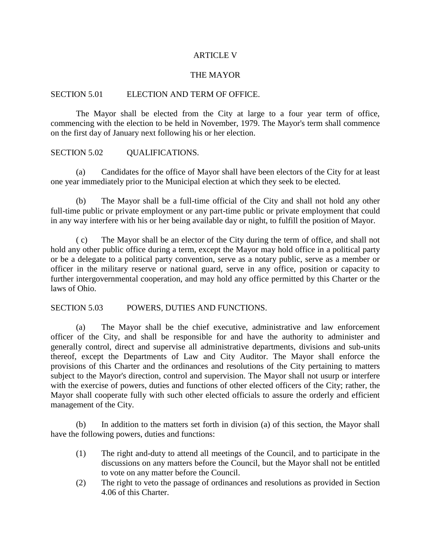## ARTICLE V

## THE MAYOR

#### SECTION 5.01 ELECTION AND TERM OF OFFICE.

The Mayor shall be elected from the City at large to a four year term of office, commencing with the election to be held in November, 1979. The Mayor's term shall commence on the first day of January next following his or her election.

## SECTION 5.02 OUALIFICATIONS.

(a) Candidates for the office of Mayor shall have been electors of the City for at least one year immediately prior to the Municipal election at which they seek to be elected.

(b) The Mayor shall be a full-time official of the City and shall not hold any other full-time public or private employment or any part-time public or private employment that could in any way interfere with his or her being available day or night, to fulfill the position of Mayor.

( c) The Mayor shall be an elector of the City during the term of office, and shall not hold any other public office during a term, except the Mayor may hold office in a political party or be a delegate to a political party convention, serve as a notary public, serve as a member or officer in the military reserve or national guard, serve in any office, position or capacity to further intergovernmental cooperation, and may hold any office permitted by this Charter or the laws of Ohio.

#### SECTION 5.03 POWERS, DUTIES AND FUNCTIONS.

(a) The Mayor shall be the chief executive, administrative and law enforcement officer of the City, and shall be responsible for and have the authority to administer and generally control, direct and supervise all administrative departments, divisions and sub-units thereof, except the Departments of Law and City Auditor. The Mayor shall enforce the provisions of this Charter and the ordinances and resolutions of the City pertaining to matters subject to the Mayor's direction, control and supervision. The Mayor shall not usurp or interfere with the exercise of powers, duties and functions of other elected officers of the City; rather, the Mayor shall cooperate fully with such other elected officials to assure the orderly and efficient management of the City.

(b) In addition to the matters set forth in division (a) of this section, the Mayor shall have the following powers, duties and functions:

- (1) The right and-duty to attend all meetings of the Council, and to participate in the discussions on any matters before the Council, but the Mayor shall not be entitled to vote on any matter before the Council.
- (2) The right to veto the passage of ordinances and resolutions as provided in Section 4.06 of this Charter.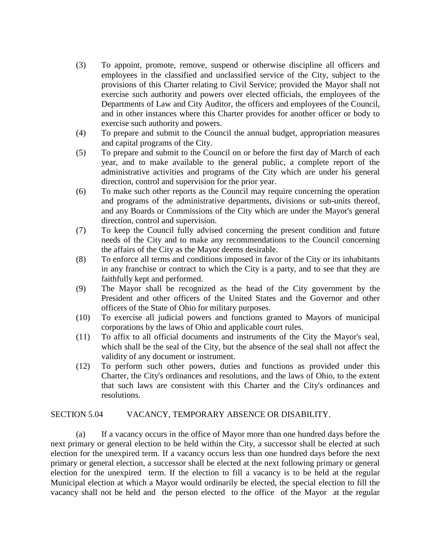- (3) To appoint, promote, remove, suspend or otherwise discipline all officers and employees in the classified and unclassified service of the City, subject to the provisions of this Charter relating to Civil Service; provided the Mayor shall not exercise such authority and powers over elected officials, the employees of the Departments of Law and City Auditor, the officers and employees of the Council, and in other instances where this Charter provides for another officer or body to exercise such authority and powers.
- (4) To prepare and submit to the Council the annual budget, appropriation measures and capital programs of the City.
- (5) To prepare and submit to the Council on or before the first day of March of each year, and to make available to the general public, a complete report of the administrative activities and programs of the City which are under his general direction, control and supervision for the prior year.
- (6) To make such other reports as the Council may require concerning the operation and programs of the administrative departments, divisions or sub-units thereof, and any Boards or Commissions of the City which are under the Mayor's general direction, control and supervision.
- (7) To keep the Council fully advised concerning the present condition and future needs of the City and to make any recommendations to the Council concerning the affairs of the City as the Mayor deems desirable.
- (8) To enforce all terms and conditions imposed in favor of the City or its inhabitants in any franchise or contract to which the City is a party, and to see that they are faithfully kept and performed.
- (9) The Mayor shall be recognized as the head of the City government by the President and other officers of the United States and the Governor and other officers of the State of Ohio for military purposes.
- (10) To exercise all judicial powers and functions granted to Mayors of municipal corporations by the laws of Ohio and applicable court rules.
- (11) To affix to all official documents and instruments of the City the Mayor's seal, which shall be the seal of the City, but the absence of the seal shall not affect the validity of any document or instrument.
- (12) To perform such other powers, duties and functions as provided under this Charter, the City's ordinances and resolutions, and the laws of Ohio, to the extent that such laws are consistent with this Charter and the City's ordinances and resolutions.

## SECTION 5.04 VACANCY, TEMPORARY ABSENCE OR DISABILITY.

(a) If a vacancy occurs in the office of Mayor more than one hundred days before the next primary or general election to be held within the City, a successor shall be elected at such election for the unexpired term. If a vacancy occurs less than one hundred days before the next primary or general election, a successor shall be elected at the next following primary or general election for the unexpired term. If the election to fill a vacancy is to be held at the regular Municipal election at which a Mayor would ordinarily be elected, the special election to fill the vacancy shall not be held and the person elected to the office of the Mayor at the regular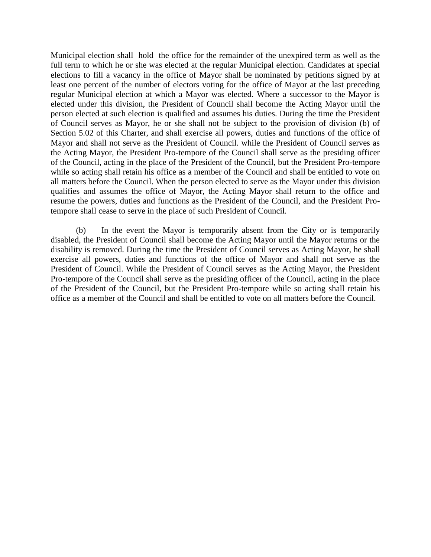Municipal election shall hold the office for the remainder of the unexpired term as well as the full term to which he or she was elected at the regular Municipal election. Candidates at special elections to fill a vacancy in the office of Mayor shall be nominated by petitions signed by at least one percent of the number of electors voting for the office of Mayor at the last preceding regular Municipal election at which a Mayor was elected. Where a successor to the Mayor is elected under this division, the President of Council shall become the Acting Mayor until the person elected at such election is qualified and assumes his duties. During the time the President of Council serves as Mayor, he or she shall not be subject to the provision of division (b) of Section 5.02 of this Charter, and shall exercise all powers, duties and functions of the office of Mayor and shall not serve as the President of Council. while the President of Council serves as the Acting Mayor, the President Pro-tempore of the Council shall serve as the presiding officer of the Council, acting in the place of the President of the Council, but the President Pro-tempore while so acting shall retain his office as a member of the Council and shall be entitled to vote on all matters before the Council. When the person elected to serve as the Mayor under this division qualifies and assumes the office of Mayor, the Acting Mayor shall return to the office and resume the powers, duties and functions as the President of the Council, and the President Protempore shall cease to serve in the place of such President of Council.

(b) In the event the Mayor is temporarily absent from the City or is temporarily disabled, the President of Council shall become the Acting Mayor until the Mayor returns or the disability is removed. During the time the President of Council serves as Acting Mayor, he shall exercise all powers, duties and functions of the office of Mayor and shall not serve as the President of Council. While the President of Council serves as the Acting Mayor, the President Pro-tempore of the Council shall serve as the presiding officer of the Council, acting in the place of the President of the Council, but the President Pro-tempore while so acting shall retain his office as a member of the Council and shall be entitled to vote on all matters before the Council.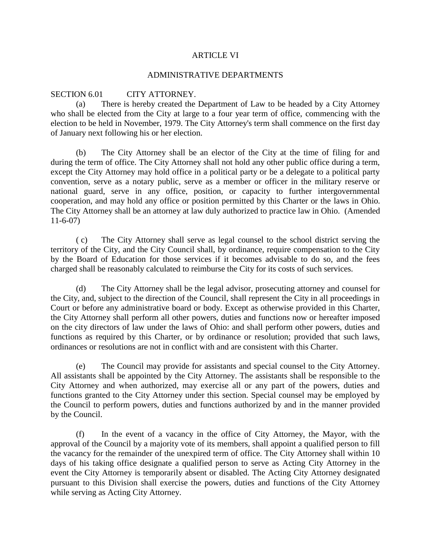#### ARTICLE VI

#### ADMINISTRATIVE DEPARTMENTS

## SECTION 6.01 CITY ATTORNEY.

(a) There is hereby created the Department of Law to be headed by a City Attorney who shall be elected from the City at large to a four year term of office, commencing with the election to be held in November, 1979. The City Attorney's term shall commence on the first day of January next following his or her election.

(b) The City Attorney shall be an elector of the City at the time of filing for and during the term of office. The City Attorney shall not hold any other public office during a term, except the City Attorney may hold office in a political party or be a delegate to a political party convention, serve as a notary public, serve as a member or officer in the military reserve or national guard, serve in any office, position, or capacity to further intergovernmental cooperation, and may hold any office or position permitted by this Charter or the laws in Ohio. The City Attorney shall be an attorney at law duly authorized to practice law in Ohio. (Amended 11-6-07)

( c) The City Attorney shall serve as legal counsel to the school district serving the territory of the City, and the City Council shall, by ordinance, require compensation to the City by the Board of Education for those services if it becomes advisable to do so, and the fees charged shall be reasonably calculated to reimburse the City for its costs of such services.

(d) The City Attorney shall be the legal advisor, prosecuting attorney and counsel for the City, and, subject to the direction of the Council, shall represent the City in all proceedings in Court or before any administrative board or body. Except as otherwise provided in this Charter, the City Attorney shall perform all other powers, duties and functions now or hereafter imposed on the city directors of law under the laws of Ohio: and shall perform other powers, duties and functions as required by this Charter, or by ordinance or resolution; provided that such laws, ordinances or resolutions are not in conflict with and are consistent with this Charter.

(e) The Council may provide for assistants and special counsel to the City Attorney. All assistants shall be appointed by the City Attorney. The assistants shall be responsible to the City Attorney and when authorized, may exercise all or any part of the powers, duties and functions granted to the City Attorney under this section. Special counsel may be employed by the Council to perform powers, duties and functions authorized by and in the manner provided by the Council.

(f) In the event of a vacancy in the office of City Attorney, the Mayor, with the approval of the Council by a majority vote of its members, shall appoint a qualified person to fill the vacancy for the remainder of the unexpired term of office. The City Attorney shall within 10 days of his taking office designate a qualified person to serve as Acting City Attorney in the event the City Attorney is temporarily absent or disabled. The Acting City Attorney designated pursuant to this Division shall exercise the powers, duties and functions of the City Attorney while serving as Acting City Attorney.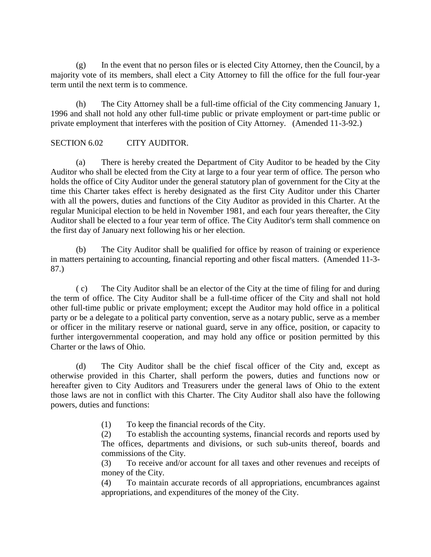(g) In the event that no person files or is elected City Attorney, then the Council, by a majority vote of its members, shall elect a City Attorney to fill the office for the full four-year term until the next term is to commence.

(h) The City Attorney shall be a full-time official of the City commencing January 1, 1996 and shall not hold any other full-time public or private employment or part-time public or private employment that interferes with the position of City Attorney. (Amended 11-3-92.)

## SECTION 6.02 CITY AUDITOR.

(a) There is hereby created the Department of City Auditor to be headed by the City Auditor who shall be elected from the City at large to a four year term of office. The person who holds the office of City Auditor under the general statutory plan of government for the City at the time this Charter takes effect is hereby designated as the first City Auditor under this Charter with all the powers, duties and functions of the City Auditor as provided in this Charter. At the regular Municipal election to be held in November 1981, and each four years thereafter, the City Auditor shall be elected to a four year term of office. The City Auditor's term shall commence on the first day of January next following his or her election.

(b) The City Auditor shall be qualified for office by reason of training or experience in matters pertaining to accounting, financial reporting and other fiscal matters. (Amended 11-3- 87.)

( c) The City Auditor shall be an elector of the City at the time of filing for and during the term of office. The City Auditor shall be a full-time officer of the City and shall not hold other full-time public or private employment; except the Auditor may hold office in a political party or be a delegate to a political party convention, serve as a notary public, serve as a member or officer in the military reserve or national guard, serve in any office, position, or capacity to further intergovernmental cooperation, and may hold any office or position permitted by this Charter or the laws of Ohio.

(d) The City Auditor shall be the chief fiscal officer of the City and, except as otherwise provided in this Charter, shall perform the powers, duties and functions now or hereafter given to City Auditors and Treasurers under the general laws of Ohio to the extent those laws are not in conflict with this Charter. The City Auditor shall also have the following powers, duties and functions:

(1) To keep the financial records of the City.

(2) To establish the accounting systems, financial records and reports used by The offices, departments and divisions, or such sub-units thereof, boards and commissions of the City.

(3) To receive and/or account for all taxes and other revenues and receipts of money of the City.

(4) To maintain accurate records of all appropriations, encumbrances against appropriations, and expenditures of the money of the City.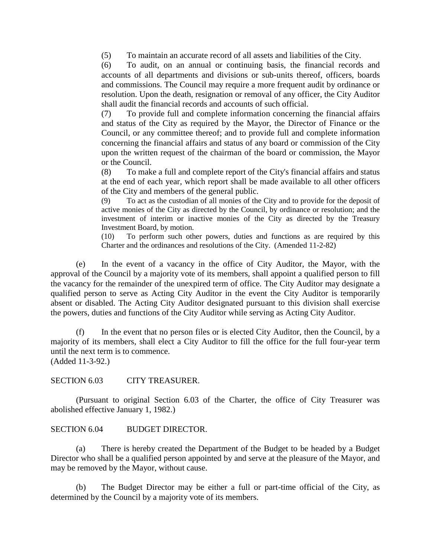(5) To maintain an accurate record of all assets and liabilities of the City.

(6) To audit, on an annual or continuing basis, the financial records and accounts of all departments and divisions or sub-units thereof, officers, boards and commissions. The Council may require a more frequent audit by ordinance or resolution. Upon the death, resignation or removal of any officer, the City Auditor shall audit the financial records and accounts of such official.

(7) To provide full and complete information concerning the financial affairs and status of the City as required by the Mayor, the Director of Finance or the Council, or any committee thereof; and to provide full and complete information concerning the financial affairs and status of any board or commission of the City upon the written request of the chairman of the board or commission, the Mayor or the Council.

(8) To make a full and complete report of the City's financial affairs and status at the end of each year, which report shall be made available to all other officers of the City and members of the general public.

(9) To act as the custodian of all monies of the City and to provide for the deposit of active monies of the City as directed by the Council, by ordinance or resolution; and the investment of interim or inactive monies of the City as directed by the Treasury Investment Board, by motion.

(10) To perform such other powers, duties and functions as are required by this Charter and the ordinances and resolutions of the City. (Amended 11-2-82)

(e) In the event of a vacancy in the office of City Auditor, the Mayor, with the approval of the Council by a majority vote of its members, shall appoint a qualified person to fill the vacancy for the remainder of the unexpired term of office. The City Auditor may designate a qualified person to serve as Acting City Auditor in the event the City Auditor is temporarily absent or disabled. The Acting City Auditor designated pursuant to this division shall exercise the powers, duties and functions of the City Auditor while serving as Acting City Auditor.

(f) In the event that no person files or is elected City Auditor, then the Council, by a majority of its members, shall elect a City Auditor to fill the office for the full four-year term until the next term is to commence. (Added 11-3-92.)

SECTION 6.03 CITY TREASURER.

(Pursuant to original Section 6.03 of the Charter, the office of City Treasurer was abolished effective January 1, 1982.)

SECTION 6.04 BUDGET DIRECTOR.

(a) There is hereby created the Department of the Budget to be headed by a Budget Director who shall be a qualified person appointed by and serve at the pleasure of the Mayor, and may be removed by the Mayor, without cause.

(b) The Budget Director may be either a full or part-time official of the City, as determined by the Council by a majority vote of its members.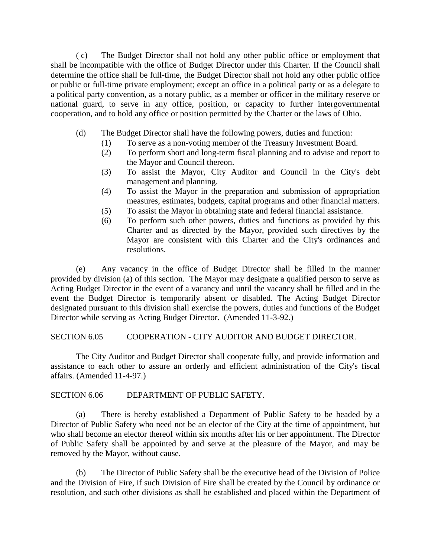( c) The Budget Director shall not hold any other public office or employment that shall be incompatible with the office of Budget Director under this Charter. If the Council shall determine the office shall be full-time, the Budget Director shall not hold any other public office or public or full-time private employment; except an office in a political party or as a delegate to a political party convention, as a notary public, as a member or officer in the military reserve or national guard, to serve in any office, position, or capacity to further intergovernmental cooperation, and to hold any office or position permitted by the Charter or the laws of Ohio.

- (d) The Budget Director shall have the following powers, duties and function:
	- (1) To serve as a non-voting member of the Treasury Investment Board.
	- (2) To perform short and long-term fiscal planning and to advise and report to the Mayor and Council thereon.
	- (3) To assist the Mayor, City Auditor and Council in the City's debt management and planning.
	- (4) To assist the Mayor in the preparation and submission of appropriation measures, estimates, budgets, capital programs and other financial matters.
	- (5) To assist the Mayor in obtaining state and federal financial assistance.
	- (6) To perform such other powers, duties and functions as provided by this Charter and as directed by the Mayor, provided such directives by the Mayor are consistent with this Charter and the City's ordinances and resolutions.

(e) Any vacancy in the office of Budget Director shall be filled in the manner provided by division (a) of this section. The Mayor may designate a qualified person to serve as Acting Budget Director in the event of a vacancy and until the vacancy shall be filled and in the event the Budget Director is temporarily absent or disabled. The Acting Budget Director designated pursuant to this division shall exercise the powers, duties and functions of the Budget Director while serving as Acting Budget Director. (Amended 11-3-92.)

SECTION 6.05 COOPERATION - CITY AUDITOR AND BUDGET DIRECTOR.

The City Auditor and Budget Director shall cooperate fully, and provide information and assistance to each other to assure an orderly and efficient administration of the City's fiscal affairs. (Amended 11-4-97.)

SECTION 6.06 DEPARTMENT OF PUBLIC SAFETY.

(a) There is hereby established a Department of Public Safety to be headed by a Director of Public Safety who need not be an elector of the City at the time of appointment, but who shall become an elector thereof within six months after his or her appointment. The Director of Public Safety shall be appointed by and serve at the pleasure of the Mayor, and may be removed by the Mayor, without cause.

(b) The Director of Public Safety shall be the executive head of the Division of Police and the Division of Fire, if such Division of Fire shall be created by the Council by ordinance or resolution, and such other divisions as shall be established and placed within the Department of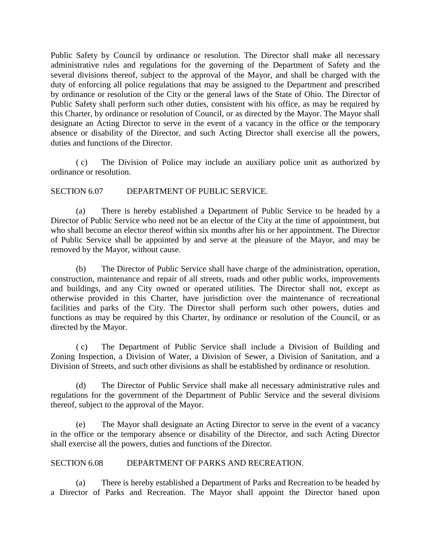Public Safety by Council by ordinance or resolution. The Director shall make all necessary administrative rules and regulations for the governing of the Department of Safety and the several divisions thereof, subject to the approval of the Mayor, and shall be charged with the duty of enforcing all police regulations that may be assigned to the Department and prescribed by ordinance or resolution of the City or the general laws of the State of Ohio. The Director of Public Safety shall perform such other duties, consistent with his office, as may be required by this Charter, by ordinance or resolution of Council, or as directed by the Mayor. The Mayor shall designate an Acting Director to serve in the event of a vacancy in the office or the temporary absence or disability of the Director, and such Acting Director shall exercise all the powers, duties and functions of the Director.

( c) The Division of Police may include an auxiliary police unit as authorized by ordinance or resolution.

SECTION 6.07 DEPARTMENT OF PUBLIC SERVICE.

(a) There is hereby established a Department of Public Service to be headed by a Director of Public Service who need not be an elector of the City at the time of appointment, but who shall become an elector thereof within six months after his or her appointment. The Director of Public Service shall be appointed by and serve at the pleasure of the Mayor, and may be removed by the Mayor, without cause.

(b) The Director of Public Service shall have charge of the administration, operation, construction, maintenance and repair of all streets, roads and other public works, improvements and buildings, and any City owned or operated utilities. The Director shall not, except as otherwise provided in this Charter, have jurisdiction over the maintenance of recreational facilities and parks of the City. The Director shall perform such other powers, duties and functions as may be required by this Charter, by ordinance or resolution of the Council, or as directed by the Mayor.

( c) The Department of Public Service shall include a Division of Building and Zoning Inspection, a Division of Water, a Division of Sewer, a Division of Sanitation, and a Division of Streets, and such other divisions as shall be established by ordinance or resolution.

(d) The Director of Public Service shall make all necessary administrative rules and regulations for the government of the Department of Public Service and the several divisions thereof, subject to the approval of the Mayor.

(e) The Mayor shall designate an Acting Director to serve in the event of a vacancy in the office or the temporary absence or disability of the Director, and such Acting Director shall exercise all the powers, duties and functions of the Director.

## SECTION 6.08 DEPARTMENT OF PARKS AND RECREATION.

(a) There is hereby established a Department of Parks and Recreation to be headed by a Director of Parks and Recreation. The Mayor shall appoint the Director based upon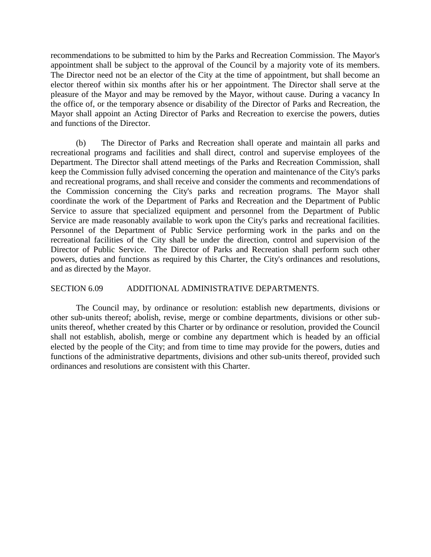recommendations to be submitted to him by the Parks and Recreation Commission. The Mayor's appointment shall be subject to the approval of the Council by a majority vote of its members. The Director need not be an elector of the City at the time of appointment, but shall become an elector thereof within six months after his or her appointment. The Director shall serve at the pleasure of the Mayor and may be removed by the Mayor, without cause. During a vacancy In the office of, or the temporary absence or disability of the Director of Parks and Recreation, the Mayor shall appoint an Acting Director of Parks and Recreation to exercise the powers, duties and functions of the Director.

(b) The Director of Parks and Recreation shall operate and maintain all parks and recreational programs and facilities and shall direct, control and supervise employees of the Department. The Director shall attend meetings of the Parks and Recreation Commission, shall keep the Commission fully advised concerning the operation and maintenance of the City's parks and recreational programs, and shall receive and consider the comments and recommendations of the Commission concerning the City's parks and recreation programs. The Mayor shall coordinate the work of the Department of Parks and Recreation and the Department of Public Service to assure that specialized equipment and personnel from the Department of Public Service are made reasonably available to work upon the City's parks and recreational facilities. Personnel of the Department of Public Service performing work in the parks and on the recreational facilities of the City shall be under the direction, control and supervision of the Director of Public Service. The Director of Parks and Recreation shall perform such other powers, duties and functions as required by this Charter, the City's ordinances and resolutions, and as directed by the Mayor.

#### SECTION 6.09 ADDITIONAL ADMINISTRATIVE DEPARTMENTS.

The Council may, by ordinance or resolution: establish new departments, divisions or other sub-units thereof; abolish, revise, merge or combine departments, divisions or other subunits thereof, whether created by this Charter or by ordinance or resolution, provided the Council shall not establish, abolish, merge or combine any department which is headed by an official elected by the people of the City; and from time to time may provide for the powers, duties and functions of the administrative departments, divisions and other sub-units thereof, provided such ordinances and resolutions are consistent with this Charter.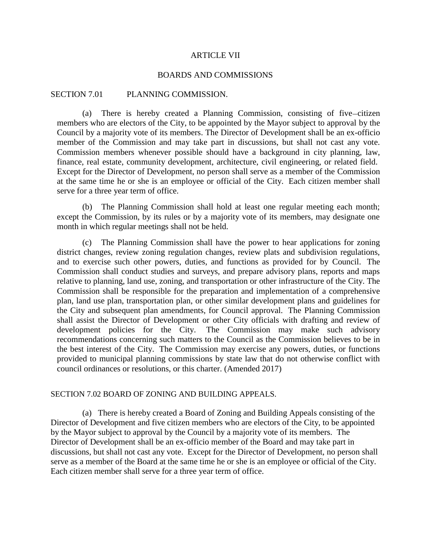#### ARTICLE VII

#### BOARDS AND COMMISSIONS

#### SECTION 7.01 PLANNING COMMISSION.

(a) There is hereby created a Planning Commission, consisting of five citizen members who are electors of the City, to be appointed by the Mayor subject to approval by the Council by a majority vote of its members. The Director of Development shall be an ex-officio member of the Commission and may take part in discussions, but shall not cast any vote. Commission members whenever possible should have a background in city planning, law, finance, real estate, community development, architecture, civil engineering, or related field. Except for the Director of Development, no person shall serve as a member of the Commission at the same time he or she is an employee or official of the City. Each citizen member shall serve for a three year term of office.

(b) The Planning Commission shall hold at least one regular meeting each month; except the Commission, by its rules or by a majority vote of its members, may designate one month in which regular meetings shall not be held.

 (c) The Planning Commission shall have the power to hear applications for zoning district changes, review zoning regulation changes, review plats and subdivision regulations, and to exercise such other powers, duties, and functions as provided for by Council. The Commission shall conduct studies and surveys, and prepare advisory plans, reports and maps relative to planning, land use, zoning, and transportation or other infrastructure of the City. The Commission shall be responsible for the preparation and implementation of a comprehensive plan, land use plan, transportation plan, or other similar development plans and guidelines for the City and subsequent plan amendments, for Council approval. The Planning Commission shall assist the Director of Development or other City officials with drafting and review of development policies for the City. The Commission may make such advisory recommendations concerning such matters to the Council as the Commission believes to be in the best interest of the City. The Commission may exercise any powers, duties, or functions provided to municipal planning commissions by state law that do not otherwise conflict with council ordinances or resolutions, or this charter. (Amended 2017)

#### SECTION 7.02 BOARD OF ZONING AND BUILDING APPEALS.

(a) There is hereby created a Board of Zoning and Building Appeals consisting of the Director of Development and five citizen members who are electors of the City, to be appointed by the Mayor subject to approval by the Council by a majority vote of its members. The Director of Development shall be an ex-officio member of the Board and may take part in discussions, but shall not cast any vote. Except for the Director of Development, no person shall serve as a member of the Board at the same time he or she is an employee or official of the City. Each citizen member shall serve for a three year term of office.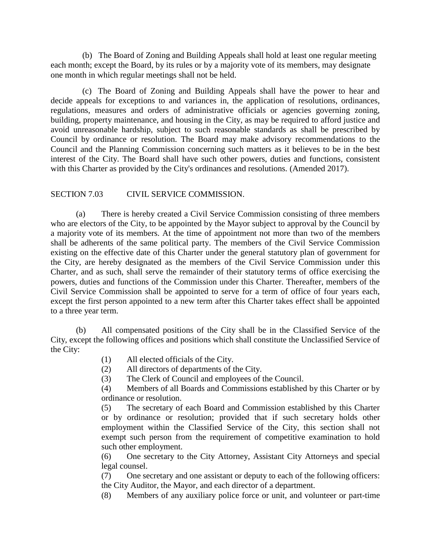(b) The Board of Zoning and Building Appeals shall hold at least one regular meeting each month; except the Board, by its rules or by a majority vote of its members, may designate one month in which regular meetings shall not be held.

 (c) The Board of Zoning and Building Appeals shall have the power to hear and decide appeals for exceptions to and variances in, the application of resolutions, ordinances, regulations, measures and orders of administrative officials or agencies governing zoning, building, property maintenance, and housing in the City, as may be required to afford justice and avoid unreasonable hardship, subject to such reasonable standards as shall be prescribed by Council by ordinance or resolution. The Board may make advisory recommendations to the Council and the Planning Commission concerning such matters as it believes to be in the best interest of the City. The Board shall have such other powers, duties and functions, consistent with this Charter as provided by the City's ordinances and resolutions. (Amended 2017).

## SECTION 7.03 CIVIL SERVICE COMMISSION.

(a) There is hereby created a Civil Service Commission consisting of three members who are electors of the City, to be appointed by the Mayor subject to approval by the Council by a majority vote of its members. At the time of appointment not more than two of the members shall be adherents of the same political party. The members of the Civil Service Commission existing on the effective date of this Charter under the general statutory plan of government for the City, are hereby designated as the members of the Civil Service Commission under this Charter, and as such, shall serve the remainder of their statutory terms of office exercising the powers, duties and functions of the Commission under this Charter. Thereafter, members of the Civil Service Commission shall be appointed to serve for a term of office of four years each, except the first person appointed to a new term after this Charter takes effect shall be appointed to a three year term.

(b) All compensated positions of the City shall be in the Classified Service of the City, except the following offices and positions which shall constitute the Unclassified Service of the City:

- (1) All elected officials of the City.
- (2) All directors of departments of the City.
- (3) The Clerk of Council and employees of the Council.

(4) Members of all Boards and Commissions established by this Charter or by ordinance or resolution.

(5) The secretary of each Board and Commission established by this Charter or by ordinance or resolution; provided that if such secretary holds other employment within the Classified Service of the City, this section shall not exempt such person from the requirement of competitive examination to hold such other employment.

(6) One secretary to the City Attorney, Assistant City Attorneys and special legal counsel.

(7) One secretary and one assistant or deputy to each of the following officers: the City Auditor, the Mayor, and each director of a department.

(8) Members of any auxiliary police force or unit, and volunteer or part-time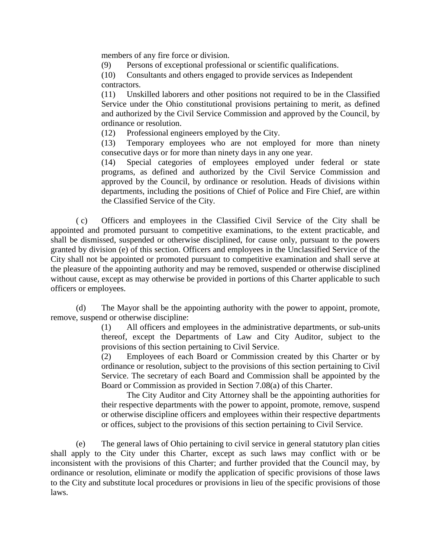members of any fire force or division.

(9) Persons of exceptional professional or scientific qualifications.

(10) Consultants and others engaged to provide services as Independent contractors.

(11) Unskilled laborers and other positions not required to be in the Classified Service under the Ohio constitutional provisions pertaining to merit, as defined and authorized by the Civil Service Commission and approved by the Council, by ordinance or resolution.

(12) Professional engineers employed by the City.

(13) Temporary employees who are not employed for more than ninety consecutive days or for more than ninety days in any one year.

(14) Special categories of employees employed under federal or state programs, as defined and authorized by the Civil Service Commission and approved by the Council, by ordinance or resolution. Heads of divisions within departments, including the positions of Chief of Police and Fire Chief, are within the Classified Service of the City.

( c) Officers and employees in the Classified Civil Service of the City shall be appointed and promoted pursuant to competitive examinations, to the extent practicable, and shall be dismissed, suspended or otherwise disciplined, for cause only, pursuant to the powers granted by division (e) of this section. Officers and employees in the Unclassified Service of the City shall not be appointed or promoted pursuant to competitive examination and shall serve at the pleasure of the appointing authority and may be removed, suspended or otherwise disciplined without cause, except as may otherwise be provided in portions of this Charter applicable to such officers or employees.

(d) The Mayor shall be the appointing authority with the power to appoint, promote, remove, suspend or otherwise discipline:

> (1) All officers and employees in the administrative departments, or sub-units thereof, except the Departments of Law and City Auditor, subject to the provisions of this section pertaining to Civil Service.

> (2) Employees of each Board or Commission created by this Charter or by ordinance or resolution, subject to the provisions of this section pertaining to Civil Service. The secretary of each Board and Commission shall be appointed by the Board or Commission as provided in Section 7.08(a) of this Charter.

> The City Auditor and City Attorney shall be the appointing authorities for their respective departments with the power to appoint, promote, remove, suspend or otherwise discipline officers and employees within their respective departments or offices, subject to the provisions of this section pertaining to Civil Service.

(e) The general laws of Ohio pertaining to civil service in general statutory plan cities shall apply to the City under this Charter, except as such laws may conflict with or be inconsistent with the provisions of this Charter; and further provided that the Council may, by ordinance or resolution, eliminate or modify the application of specific provisions of those laws to the City and substitute local procedures or provisions in lieu of the specific provisions of those laws.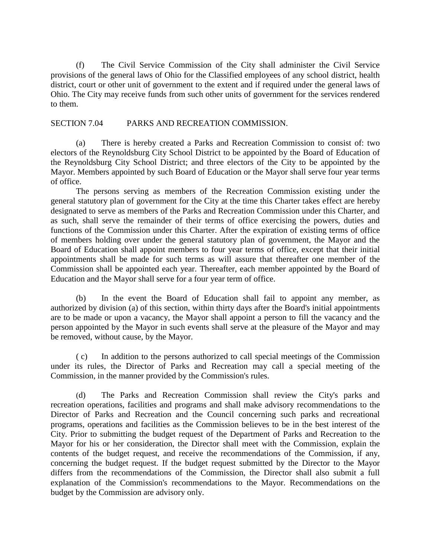(f) The Civil Service Commission of the City shall administer the Civil Service provisions of the general laws of Ohio for the Classified employees of any school district, health district, court or other unit of government to the extent and if required under the general laws of Ohio. The City may receive funds from such other units of government for the services rendered to them.

## SECTION 7.04 PARKS AND RECREATION COMMISSION.

(a) There is hereby created a Parks and Recreation Commission to consist of: two electors of the Reynoldsburg City School District to be appointed by the Board of Education of the Reynoldsburg City School District; and three electors of the City to be appointed by the Mayor. Members appointed by such Board of Education or the Mayor shall serve four year terms of office.

The persons serving as members of the Recreation Commission existing under the general statutory plan of government for the City at the time this Charter takes effect are hereby designated to serve as members of the Parks and Recreation Commission under this Charter, and as such, shall serve the remainder of their terms of office exercising the powers, duties and functions of the Commission under this Charter. After the expiration of existing terms of office of members holding over under the general statutory plan of government, the Mayor and the Board of Education shall appoint members to four year terms of office, except that their initial appointments shall be made for such terms as will assure that thereafter one member of the Commission shall be appointed each year. Thereafter, each member appointed by the Board of Education and the Mayor shall serve for a four year term of office.

(b) In the event the Board of Education shall fail to appoint any member, as authorized by division (a) of this section, within thirty days after the Board's initial appointments are to be made or upon a vacancy, the Mayor shall appoint a person to fill the vacancy and the person appointed by the Mayor in such events shall serve at the pleasure of the Mayor and may be removed, without cause, by the Mayor.

( c) In addition to the persons authorized to call special meetings of the Commission under its rules, the Director of Parks and Recreation may call a special meeting of the Commission, in the manner provided by the Commission's rules.

(d) The Parks and Recreation Commission shall review the City's parks and recreation operations, facilities and programs and shall make advisory recommendations to the Director of Parks and Recreation and the Council concerning such parks and recreational programs, operations and facilities as the Commission believes to be in the best interest of the City. Prior to submitting the budget request of the Department of Parks and Recreation to the Mayor for his or her consideration, the Director shall meet with the Commission, explain the contents of the budget request, and receive the recommendations of the Commission, if any, concerning the budget request. If the budget request submitted by the Director to the Mayor differs from the recommendations of the Commission, the Director shall also submit a full explanation of the Commission's recommendations to the Mayor. Recommendations on the budget by the Commission are advisory only.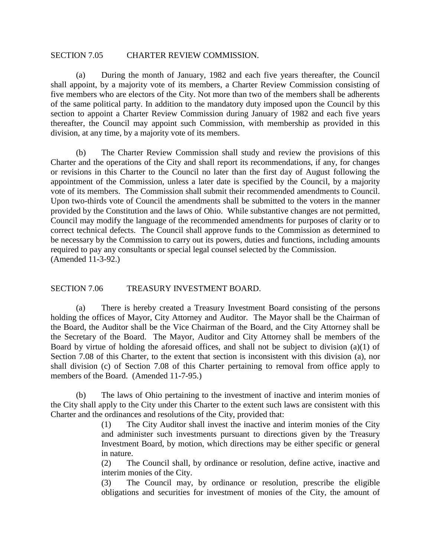#### SECTION 7.05 CHARTER REVIEW COMMISSION.

(a) During the month of January, 1982 and each five years thereafter, the Council shall appoint, by a majority vote of its members, a Charter Review Commission consisting of five members who are electors of the City. Not more than two of the members shall be adherents of the same political party. In addition to the mandatory duty imposed upon the Council by this section to appoint a Charter Review Commission during January of 1982 and each five years thereafter, the Council may appoint such Commission, with membership as provided in this division, at any time, by a majority vote of its members.

(b) The Charter Review Commission shall study and review the provisions of this Charter and the operations of the City and shall report its recommendations, if any, for changes or revisions in this Charter to the Council no later than the first day of August following the appointment of the Commission, unless a later date is specified by the Council, by a majority vote of its members. The Commission shall submit their recommended amendments to Council. Upon two-thirds vote of Council the amendments shall be submitted to the voters in the manner provided by the Constitution and the laws of Ohio. While substantive changes are not permitted, Council may modify the language of the recommended amendments for purposes of clarity or to correct technical defects. The Council shall approve funds to the Commission as determined to be necessary by the Commission to carry out its powers, duties and functions, including amounts required to pay any consultants or special legal counsel selected by the Commission. (Amended 11-3-92.)

#### SECTION 7.06 TREASURY INVESTMENT BOARD.

(a) There is hereby created a Treasury Investment Board consisting of the persons holding the offices of Mayor, City Attorney and Auditor. The Mayor shall be the Chairman of the Board, the Auditor shall be the Vice Chairman of the Board, and the City Attorney shall be the Secretary of the Board. The Mayor, Auditor and City Attorney shall be members of the Board by virtue of holding the aforesaid offices, and shall not be subject to division (a)(1) of Section 7.08 of this Charter, to the extent that section is inconsistent with this division (a), nor shall division (c) of Section 7.08 of this Charter pertaining to removal from office apply to members of the Board. (Amended 11-7-95.)

(b) The laws of Ohio pertaining to the investment of inactive and interim monies of the City shall apply to the City under this Charter to the extent such laws are consistent with this Charter and the ordinances and resolutions of the City, provided that:

> (1) The City Auditor shall invest the inactive and interim monies of the City and administer such investments pursuant to directions given by the Treasury Investment Board, by motion, which directions may be either specific or general in nature.

> (2) The Council shall, by ordinance or resolution, define active, inactive and interim monies of the City.

> (3) The Council may, by ordinance or resolution, prescribe the eligible obligations and securities for investment of monies of the City, the amount of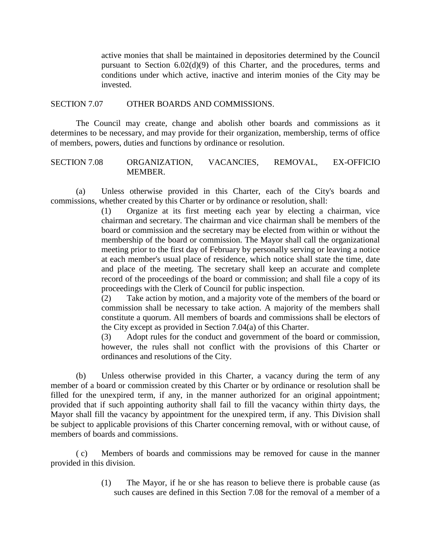active monies that shall be maintained in depositories determined by the Council pursuant to Section 6.02(d)(9) of this Charter, and the procedures, terms and conditions under which active, inactive and interim monies of the City may be invested.

#### SECTION 7.07 OTHER BOARDS AND COMMISSIONS.

The Council may create, change and abolish other boards and commissions as it determines to be necessary, and may provide for their organization, membership, terms of office of members, powers, duties and functions by ordinance or resolution.

## SECTION 7.08 ORGANIZATION, VACANCIES, REMOVAL, EX-OFFICIO MEMBER.

(a) Unless otherwise provided in this Charter, each of the City's boards and commissions, whether created by this Charter or by ordinance or resolution, shall:

> (1) Organize at its first meeting each year by electing a chairman, vice chairman and secretary. The chairman and vice chairman shall be members of the board or commission and the secretary may be elected from within or without the membership of the board or commission. The Mayor shall call the organizational meeting prior to the first day of February by personally serving or leaving a notice at each member's usual place of residence, which notice shall state the time, date and place of the meeting. The secretary shall keep an accurate and complete record of the proceedings of the board or commission; and shall file a copy of its proceedings with the Clerk of Council for public inspection.

> (2) Take action by motion, and a majority vote of the members of the board or commission shall be necessary to take action. A majority of the members shall constitute a quorum. All members of boards and commissions shall be electors of the City except as provided in Section 7.04(a) of this Charter.

> (3) Adopt rules for the conduct and government of the board or commission, however, the rules shall not conflict with the provisions of this Charter or ordinances and resolutions of the City.

(b) Unless otherwise provided in this Charter, a vacancy during the term of any member of a board or commission created by this Charter or by ordinance or resolution shall be filled for the unexpired term, if any, in the manner authorized for an original appointment; provided that if such appointing authority shall fail to fill the vacancy within thirty days, the Mayor shall fill the vacancy by appointment for the unexpired term, if any. This Division shall be subject to applicable provisions of this Charter concerning removal, with or without cause, of members of boards and commissions.

( c) Members of boards and commissions may be removed for cause in the manner provided in this division.

> (1) The Mayor, if he or she has reason to believe there is probable cause (as such causes are defined in this Section 7.08 for the removal of a member of a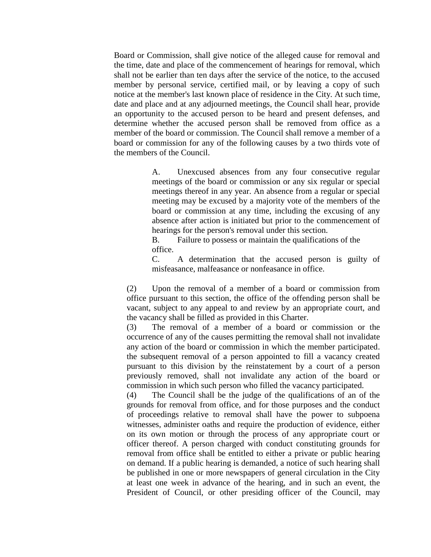Board or Commission, shall give notice of the alleged cause for removal and the time, date and place of the commencement of hearings for removal, which shall not be earlier than ten days after the service of the notice, to the accused member by personal service, certified mail, or by leaving a copy of such notice at the member's last known place of residence in the City. At such time, date and place and at any adjourned meetings, the Council shall hear, provide an opportunity to the accused person to be heard and present defenses, and determine whether the accused person shall be removed from office as a member of the board or commission. The Council shall remove a member of a board or commission for any of the following causes by a two thirds vote of the members of the Council.

> A. Unexcused absences from any four consecutive regular meetings of the board or commission or any six regular or special meetings thereof in any year. An absence from a regular or special meeting may be excused by a majority vote of the members of the board or commission at any time, including the excusing of any absence after action is initiated but prior to the commencement of hearings for the person's removal under this section.

B. Failure to possess or maintain the qualifications of the office.

C. A determination that the accused person is guilty of misfeasance, malfeasance or nonfeasance in office.

(2) Upon the removal of a member of a board or commission from office pursuant to this section, the office of the offending person shall be vacant, subject to any appeal to and review by an appropriate court, and the vacancy shall be filled as provided in this Charter.

(3) The removal of a member of a board or commission or the occurrence of any of the causes permitting the removal shall not invalidate any action of the board or commission in which the member participated. the subsequent removal of a person appointed to fill a vacancy created pursuant to this division by the reinstatement by a court of a person previously removed, shall not invalidate any action of the board or commission in which such person who filled the vacancy participated.

(4) The Council shall be the judge of the qualifications of an of the grounds for removal from office, and for those purposes and the conduct of proceedings relative to removal shall have the power to subpoena witnesses, administer oaths and require the production of evidence, either on its own motion or through the process of any appropriate court or officer thereof. A person charged with conduct constituting grounds for removal from office shall be entitled to either a private or public hearing on demand. If a public hearing is demanded, a notice of such hearing shall be published in one or more newspapers of general circulation in the City at least one week in advance of the hearing, and in such an event, the President of Council, or other presiding officer of the Council, may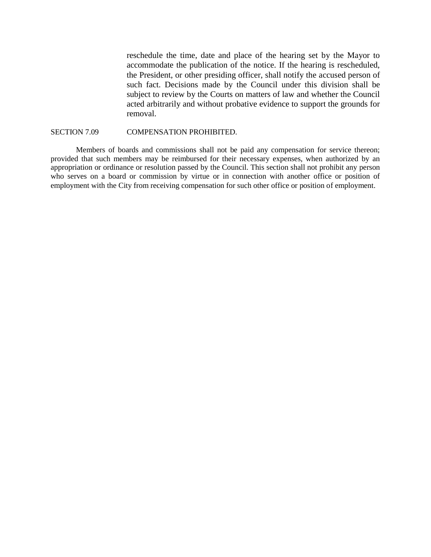reschedule the time, date and place of the hearing set by the Mayor to accommodate the publication of the notice. If the hearing is rescheduled, the President, or other presiding officer, shall notify the accused person of such fact. Decisions made by the Council under this division shall be subject to review by the Courts on matters of law and whether the Council acted arbitrarily and without probative evidence to support the grounds for removal.

#### SECTION 7.09 COMPENSATION PROHIBITED.

Members of boards and commissions shall not be paid any compensation for service thereon; provided that such members may be reimbursed for their necessary expenses, when authorized by an appropriation or ordinance or resolution passed by the Council. This section shall not prohibit any person who serves on a board or commission by virtue or in connection with another office or position of employment with the City from receiving compensation for such other office or position of employment.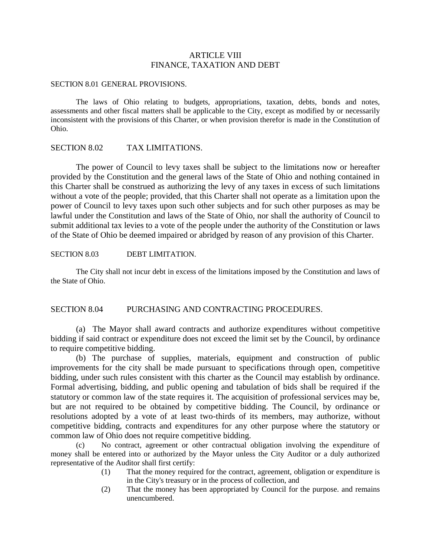## ARTICLE VIII FINANCE, TAXATION AND DEBT

#### SECTION 8.01 GENERAL PROVISIONS.

The laws of Ohio relating to budgets, appropriations, taxation, debts, bonds and notes, assessments and other fiscal matters shall be applicable to the City, except as modified by or necessarily inconsistent with the provisions of this Charter, or when provision therefor is made in the Constitution of Ohio.

#### SECTION 8.02 TAX LIMITATIONS.

The power of Council to levy taxes shall be subject to the limitations now or hereafter provided by the Constitution and the general laws of the State of Ohio and nothing contained in this Charter shall be construed as authorizing the levy of any taxes in excess of such limitations without a vote of the people; provided, that this Charter shall not operate as a limitation upon the power of Council to levy taxes upon such other subjects and for such other purposes as may be lawful under the Constitution and laws of the State of Ohio, nor shall the authority of Council to submit additional tax levies to a vote of the people under the authority of the Constitution or laws of the State of Ohio be deemed impaired or abridged by reason of any provision of this Charter.

#### SECTION 8.03 DEBT LIMITATION.

The City shall not incur debt in excess of the limitations imposed by the Constitution and laws of the State of Ohio.

## SECTION 8.04 PURCHASING AND CONTRACTING PROCEDURES.

(a) The Mayor shall award contracts and authorize expenditures without competitive bidding if said contract or expenditure does not exceed the limit set by the Council, by ordinance to require competitive bidding.

(b) The purchase of supplies, materials, equipment and construction of public improvements for the city shall be made pursuant to specifications through open, competitive bidding, under such rules consistent with this charter as the Council may establish by ordinance. Formal advertising, bidding, and public opening and tabulation of bids shall be required if the statutory or common law of the state requires it. The acquisition of professional services may be, but are not required to be obtained by competitive bidding. The Council, by ordinance or resolutions adopted by a vote of at least two-thirds of its members, may authorize, without competitive bidding, contracts and expenditures for any other purpose where the statutory or common law of Ohio does not require competitive bidding.

(c) No contract, agreement or other contractual obligation involving the expenditure of money shall be entered into or authorized by the Mayor unless the City Auditor or a duly authorized representative of the Auditor shall first certify:

- (1) That the money required for the contract, agreement, obligation or expenditure is in the City's treasury or in the process of collection, and
- (2) That the money has been appropriated by Council for the purpose. and remains unencumbered.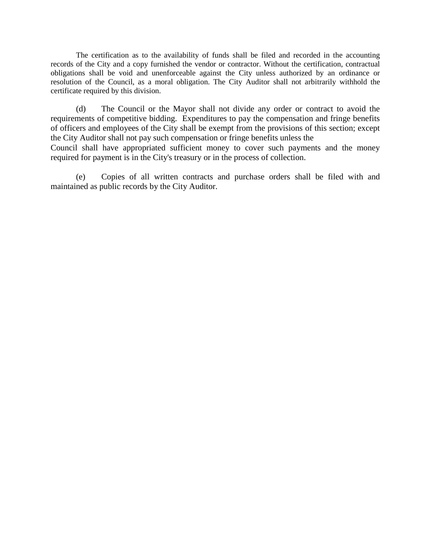The certification as to the availability of funds shall be filed and recorded in the accounting records of the City and a copy furnished the vendor or contractor. Without the certification, contractual obligations shall be void and unenforceable against the City unless authorized by an ordinance or resolution of the Council, as a moral obligation. The City Auditor shall not arbitrarily withhold the certificate required by this division.

(d) The Council or the Mayor shall not divide any order or contract to avoid the requirements of competitive bidding. Expenditures to pay the compensation and fringe benefits of officers and employees of the City shall be exempt from the provisions of this section; except the City Auditor shall not pay such compensation or fringe benefits unless the

Council shall have appropriated sufficient money to cover such payments and the money required for payment is in the City's treasury or in the process of collection.

(e) Copies of all written contracts and purchase orders shall be filed with and maintained as public records by the City Auditor.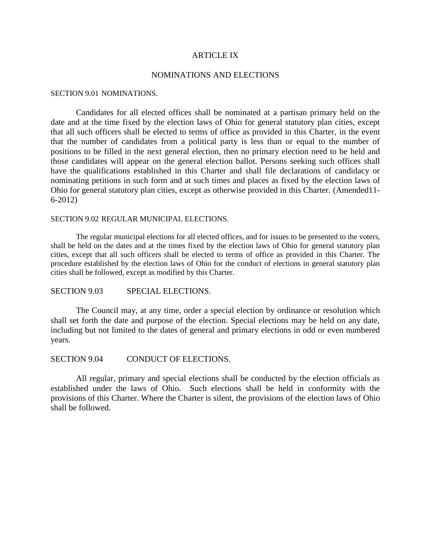#### ARTICLE IX

#### NOMINATIONS AND ELECTIONS

#### SECTION 9.01 NOMINATIONS.

Candidates for all elected offices shall be nominated at a partisan primary held on the date and at the time fixed by the election laws of Ohio for general statutory plan cities, except that all such officers shall be elected to terms of office as provided in this Charter, in the event that the number of candidates from a political party is less than or equal to the number of positions to be filled in the next general election, then no primary election need to be held and those candidates will appear on the general election ballot. Persons seeking such offices shall have the qualifications established in this Charter and shall file declarations of candidacy or nominating petitions in such form and at such times and places as fixed by the election laws of Ohio for general statutory plan cities, except as otherwise provided in this Charter. (Amended11- 6-2012)

#### SECTION 9.02 REGULAR MUNICIPAL ELECTIONS.

The regular municipal elections for all elected offices, and for issues to be presented to the voters, shall be held on the dates and at the times fixed by the election laws of Ohio for general statutory plan cities, except that all such officers shall be elected to terms of office as provided in this Charter. The procedure established by the election laws of Ohio for the conduct of elections in general statutory plan cities shall be followed, except as modified by this Charter.

SECTION 9.03 SPECIAL ELECTIONS.

The Council may, at any time, order a special election by ordinance or resolution which shall set forth the date and purpose of the election. Special elections may be held on any date, including but not limited to the dates of general and primary elections in odd or even numbered years.

SECTION 9.04 CONDUCT OF ELECTIONS.

All regular, primary and special elections shall be conducted by the election officials as established under the laws of Ohio. Such elections shall be held in conformity with the provisions of this Charter. Where the Charter is silent, the provisions of the election laws of Ohio shall be followed.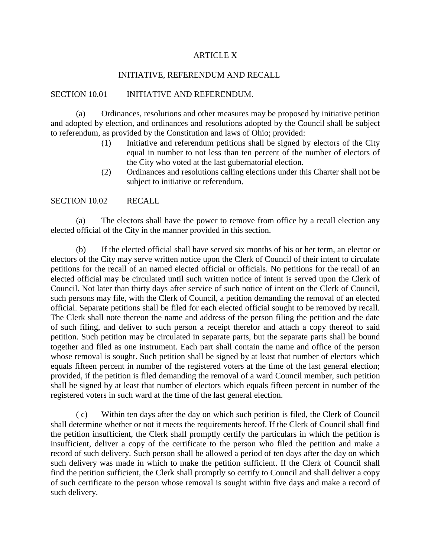## ARTICLE X

## INITIATIVE, REFERENDUM AND RECALL

## SECTION 10.01 INITIATIVE AND REFERENDUM.

(a) Ordinances, resolutions and other measures may be proposed by initiative petition and adopted by election, and ordinances and resolutions adopted by the Council shall be subject to referendum, as provided by the Constitution and laws of Ohio; provided:

- (1) Initiative and referendum petitions shall be signed by electors of the City equal in number to not less than ten percent of the number of electors of the City who voted at the last gubernatorial election.
- (2) Ordinances and resolutions calling elections under this Charter shall not be subject to initiative or referendum.

SECTION 10.02 RECALL

(a) The electors shall have the power to remove from office by a recall election any elected official of the City in the manner provided in this section.

(b) If the elected official shall have served six months of his or her term, an elector or electors of the City may serve written notice upon the Clerk of Council of their intent to circulate petitions for the recall of an named elected official or officials. No petitions for the recall of an elected official may be circulated until such written notice of intent is served upon the Clerk of Council. Not later than thirty days after service of such notice of intent on the Clerk of Council, such persons may file, with the Clerk of Council, a petition demanding the removal of an elected official. Separate petitions shall be filed for each elected official sought to be removed by recall. The Clerk shall note thereon the name and address of the person filing the petition and the date of such filing, and deliver to such person a receipt therefor and attach a copy thereof to said petition. Such petition may be circulated in separate parts, but the separate parts shall be bound together and filed as one instrument. Each part shall contain the name and office of the person whose removal is sought. Such petition shall be signed by at least that number of electors which equals fifteen percent in number of the registered voters at the time of the last general election; provided, if the petition is filed demanding the removal of a ward Council member, such petition shall be signed by at least that number of electors which equals fifteen percent in number of the registered voters in such ward at the time of the last general election.

( c) Within ten days after the day on which such petition is filed, the Clerk of Council shall determine whether or not it meets the requirements hereof. If the Clerk of Council shall find the petition insufficient, the Clerk shall promptly certify the particulars in which the petition is insufficient, deliver a copy of the certificate to the person who filed the petition and make a record of such delivery. Such person shall be allowed a period of ten days after the day on which such delivery was made in which to make the petition sufficient. If the Clerk of Council shall find the petition sufficient, the Clerk shall promptly so certify to Council and shall deliver a copy of such certificate to the person whose removal is sought within five days and make a record of such delivery.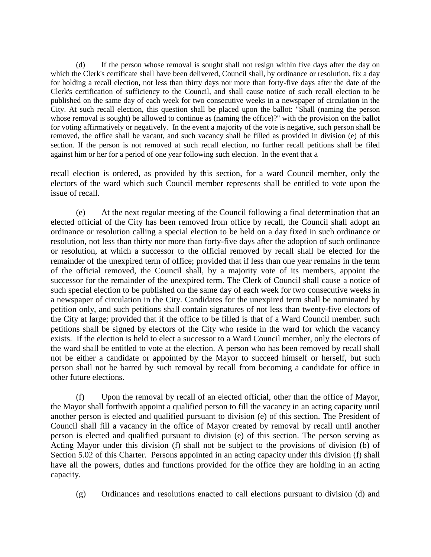(d) If the person whose removal is sought shall not resign within five days after the day on which the Clerk's certificate shall have been delivered, Council shall, by ordinance or resolution, fix a day for holding a recall election, not less than thirty days nor more than forty-five days after the date of the Clerk's certification of sufficiency to the Council, and shall cause notice of such recall election to be published on the same day of each week for two consecutive weeks in a newspaper of circulation in the City. At such recall election, this question shall be placed upon the ballot: "Shall (naming the person whose removal is sought) be allowed to continue as (naming the office)?" with the provision on the ballot for voting affirmatively or negatively. In the event a majority of the vote is negative, such person shall be removed, the office shall be vacant, and such vacancy shall be filled as provided in division (e) of this section. If the person is not removed at such recall election, no further recall petitions shall be filed against him or her for a period of one year following such election. In the event that a

recall election is ordered, as provided by this section, for a ward Council member, only the electors of the ward which such Council member represents shall be entitled to vote upon the issue of recall.

(e) At the next regular meeting of the Council following a final determination that an elected official of the City has been removed from office by recall, the Council shall adopt an ordinance or resolution calling a special election to be held on a day fixed in such ordinance or resolution, not less than thirty nor more than forty-five days after the adoption of such ordinance or resolution, at which a successor to the official removed by recall shall be elected for the remainder of the unexpired term of office; provided that if less than one year remains in the term of the official removed, the Council shall, by a majority vote of its members, appoint the successor for the remainder of the unexpired term. The Clerk of Council shall cause a notice of such special election to be published on the same day of each week for two consecutive weeks in a newspaper of circulation in the City. Candidates for the unexpired term shall be nominated by petition only, and such petitions shall contain signatures of not less than twenty-five electors of the City at large; provided that if the office to be filled is that of a Ward Council member. such petitions shall be signed by electors of the City who reside in the ward for which the vacancy exists. If the election is held to elect a successor to a Ward Council member, only the electors of the ward shall be entitled to vote at the election. A person who has been removed by recall shall not be either a candidate or appointed by the Mayor to succeed himself or herself, but such person shall not be barred by such removal by recall from becoming a candidate for office in other future elections.

(f) Upon the removal by recall of an elected official, other than the office of Mayor, the Mayor shall forthwith appoint a qualified person to fill the vacancy in an acting capacity until another person is elected and qualified pursuant to division (e) of this section. The President of Council shall fill a vacancy in the office of Mayor created by removal by recall until another person is elected and qualified pursuant to division (e) of this section. The person serving as Acting Mayor under this division (f) shall not be subject to the provisions of division (b) of Section 5.02 of this Charter. Persons appointed in an acting capacity under this division (f) shall have all the powers, duties and functions provided for the office they are holding in an acting capacity.

(g) Ordinances and resolutions enacted to call elections pursuant to division (d) and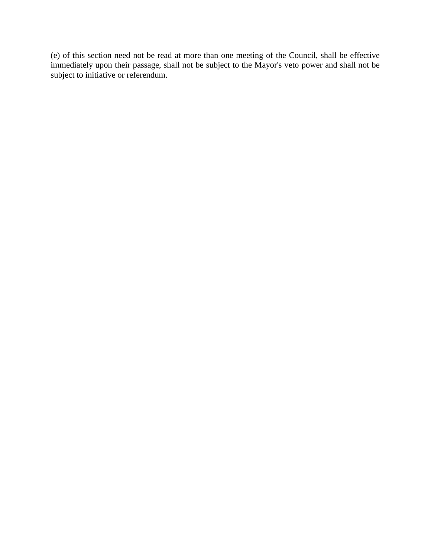(e) of this section need not be read at more than one meeting of the Council, shall be effective immediately upon their passage, shall not be subject to the Mayor's veto power and shall not be subject to initiative or referendum.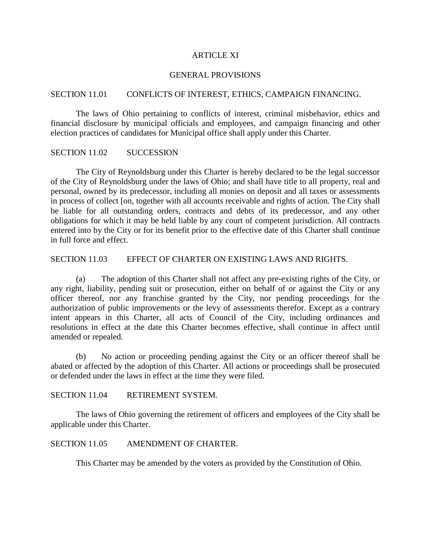#### ARTICLE XI

#### GENERAL PROVISIONS

## SECTION 11.01 CONFLICTS OF INTEREST, ETHICS, CAMPAIGN FINANCING.

The laws of Ohio pertaining to conflicts of interest, criminal misbehavior, ethics and financial disclosure by municipal officials and employees, and campaign financing and other election practices of candidates for Municipal office shall apply under this Charter.

## SECTION 11.02 SUCCESSION

The City of Reynoldsburg under this Charter is hereby declared to be the legal successor of the City of Reynoldsburg under the laws of Ohio; and shall have title to all property, real and personal, owned by its predecessor, including all monies on deposit and all taxes or assessments in process of collect [on, together with all accounts receivable and rights of action. The City shall be liable for all outstanding orders, contracts and debts of its predecessor, and any other obligations for which it may be held liable by any court of competent jurisdiction. All contracts entered into by the City or for its benefit prior to the effective date of this Charter shall continue in full force and effect.

## SECTION 11.03 EFFECT OF CHARTER ON EXISTING LAWS AND RIGHTS.

(a) The adoption of this Charter shall not affect any pre-existing rights of the City, or any right, liability, pending suit or prosecution, either on behalf of or against the City or any officer thereof, nor any franchise granted by the City, nor pending proceedings for the authorization of public improvements or the levy of assessments therefor. Except as a contrary intent appears in this Charter, all acts of Council of the City, including ordinances and resolutions in effect at the date this Charter becomes effective, shall continue in affect until amended or repealed.

(b) No action or proceeding pending against the City or an officer thereof shall be abated or affected by the adoption of this Charter. All actions or proceedings shall be prosecuted or defended under the laws in effect at the time they were filed.

SECTION 11.04 RETIREMENT SYSTEM.

The laws of Ohio governing the retirement of officers and employees of the City shall be applicable under this Charter.

#### SECTION 11.05 AMENDMENT OF CHARTER.

This Charter may be amended by the voters as provided by the Constitution of Ohio.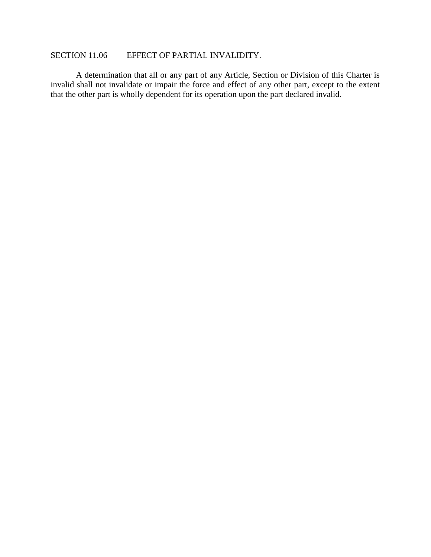## SECTION 11.06 EFFECT OF PARTIAL INVALIDITY.

A determination that all or any part of any Article, Section or Division of this Charter is invalid shall not invalidate or impair the force and effect of any other part, except to the extent that the other part is wholly dependent for its operation upon the part declared invalid.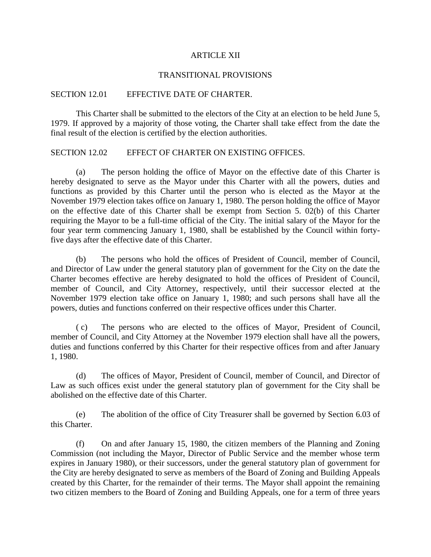#### ARTICLE XII

#### TRANSITIONAL PROVISIONS

## SECTION 12.01 EFFECTIVE DATE OF CHARTER.

This Charter shall be submitted to the electors of the City at an election to be held June 5, 1979. If approved by a majority of those voting, the Charter shall take effect from the date the final result of the election is certified by the election authorities.

## SECTION 12.02 EFFECT OF CHARTER ON EXISTING OFFICES.

(a) The person holding the office of Mayor on the effective date of this Charter is hereby designated to serve as the Mayor under this Charter with all the powers, duties and functions as provided by this Charter until the person who is elected as the Mayor at the November 1979 election takes office on January 1, 1980. The person holding the office of Mayor on the effective date of this Charter shall be exempt from Section 5. 02(b) of this Charter requiring the Mayor to be a full-time official of the City. The initial salary of the Mayor for the four year term commencing January 1, 1980, shall be established by the Council within fortyfive days after the effective date of this Charter.

(b) The persons who hold the offices of President of Council, member of Council, and Director of Law under the general statutory plan of government for the City on the date the Charter becomes effective are hereby designated to hold the offices of President of Council, member of Council, and City Attorney, respectively, until their successor elected at the November 1979 election take office on January 1, 1980; and such persons shall have all the powers, duties and functions conferred on their respective offices under this Charter.

( c) The persons who are elected to the offices of Mayor, President of Council, member of Council, and City Attorney at the November 1979 election shall have all the powers, duties and functions conferred by this Charter for their respective offices from and after January 1, 1980.

(d) The offices of Mayor, President of Council, member of Council, and Director of Law as such offices exist under the general statutory plan of government for the City shall be abolished on the effective date of this Charter.

(e) The abolition of the office of City Treasurer shall be governed by Section 6.03 of this Charter.

(f) On and after January 15, 1980, the citizen members of the Planning and Zoning Commission (not including the Mayor, Director of Public Service and the member whose term expires in January 1980), or their successors, under the general statutory plan of government for the City are hereby designated to serve as members of the Board of Zoning and Building Appeals created by this Charter, for the remainder of their terms. The Mayor shall appoint the remaining two citizen members to the Board of Zoning and Building Appeals, one for a term of three years